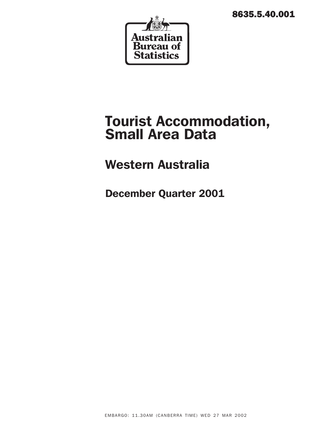8635.5.40.001



# Tourist Accommodation, Small Area Data

# Western Australia

December Quarter 2001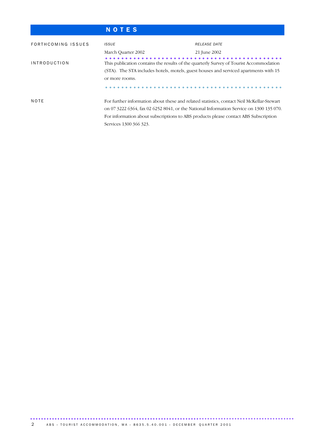# N O T E S

| FORTHCOMING ISSUES         | <b>ISSUE</b>                                                                              | RELEASE DATE                                                                            |
|----------------------------|-------------------------------------------------------------------------------------------|-----------------------------------------------------------------------------------------|
|                            | March Quarter 2002                                                                        | 21 June 2002                                                                            |
| <i><b>INTRODUCTION</b></i> | This publication contains the results of the quarterly Survey of Tourist Accommodation    |                                                                                         |
|                            | (STA). The STA includes hotels, motels, guest houses and serviced apartments with 15      |                                                                                         |
|                            | or more rooms.                                                                            |                                                                                         |
|                            |                                                                                           |                                                                                         |
| NOTE                       | For further information about these and related statistics, contact Neil McKellar-Stewart |                                                                                         |
|                            |                                                                                           | on 07 3222 6364, fax 02 6252 8041, or the National Information Service on 1300 135 070. |
|                            | For information about subscriptions to ABS products please contact ABS Subscription       |                                                                                         |
|                            | Services 1300 366 323.                                                                    |                                                                                         |

................................................................................................. ..............................................................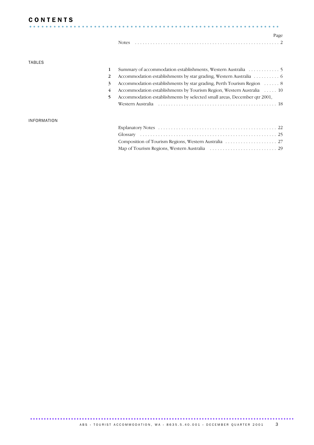# **CONTENTS**

| <b>CONTENTS</b> |  |  |  |  |  |  |  |  |  |  |  |  |  |  |  |  |  |  |  |  |  |  |  |  |  |  |      |
|-----------------|--|--|--|--|--|--|--|--|--|--|--|--|--|--|--|--|--|--|--|--|--|--|--|--|--|--|------|
|                 |  |  |  |  |  |  |  |  |  |  |  |  |  |  |  |  |  |  |  |  |  |  |  |  |  |  |      |
|                 |  |  |  |  |  |  |  |  |  |  |  |  |  |  |  |  |  |  |  |  |  |  |  |  |  |  | Page |
|                 |  |  |  |  |  |  |  |  |  |  |  |  |  |  |  |  |  |  |  |  |  |  |  |  |  |  |      |

### TABLES

| 1  |                                                                          |
|----|--------------------------------------------------------------------------|
|    | Accommodation establishments by star grading, Western Australia 6        |
| 3  | Accommodation establishments by star grading, Perth Tourism Region  8    |
| 4  | Accommodation establishments by Tourism Region, Western Australia  10    |
| 5. | Accommodation establishments by selected small areas, December qtr 2001, |
|    |                                                                          |
|    |                                                                          |

#### INFORMATION

................................................................................................. .......................................................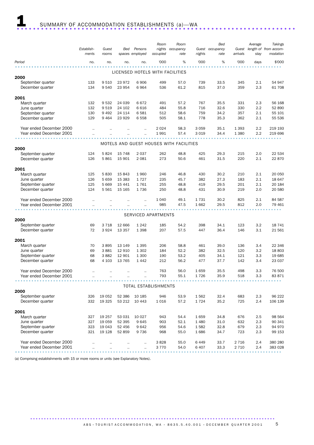|                          |            |           |          |                 | Room                        | Room                                    |         | Bed             |          | Average | Takings                                                                                               |
|--------------------------|------------|-----------|----------|-----------------|-----------------------------|-----------------------------------------|---------|-----------------|----------|---------|-------------------------------------------------------------------------------------------------------|
|                          | Establish- | Guest     | Bed      | Persons         | nights                      | occupancy                               |         | Guest occupancy | Guest    |         | length of from accom-                                                                                 |
|                          | ments      | rooms     |          | spaces employed | occupied                    | rate                                    | nights  | rate            | arrivals | stay    | modation                                                                                              |
| Period                   | no.        | no.       | no.      | no.             | '000                        | %                                       | '000    | %               | '000     | days    | \$'000                                                                                                |
|                          |            |           |          |                 |                             |                                         |         |                 |          |         |                                                                                                       |
|                          |            |           |          |                 |                             | LICENSED HOTELS WITH FACILITIES         |         |                 |          |         |                                                                                                       |
| 2000                     |            |           |          |                 |                             |                                         |         |                 |          |         |                                                                                                       |
|                          |            |           | 23 972   |                 |                             |                                         |         |                 |          |         | 54 947                                                                                                |
| September quarter        | 133        | 9510      |          | 6906            | 499                         | 57.0                                    | 739     | 33.5            | 345      | 2.1     |                                                                                                       |
| December quarter         | 134        | 9 5 4 0   | 23 954   | 6964            | 536                         | 61.2                                    | 815     | 37.0            | 359      | 2.3     | 61 708                                                                                                |
|                          |            |           |          |                 |                             |                                         |         |                 |          |         |                                                                                                       |
| 2001                     |            |           |          |                 |                             |                                         |         |                 |          |         |                                                                                                       |
| March quarter            | 132        | 9532      | 24 039   | 6672            | 491                         | 57.2                                    | 767     | 35.5            | 331      | 2.3     | 56 168                                                                                                |
| June quarter             | 132        | 9519      | 24 102   | 6616            | 484                         | 55.8                                    | 716     | 32.6            | 330      | 2.2     | 52 890                                                                                                |
| September quarter        | 130        | 9 4 9 2   | 24 114   | 6581            | 512                         | 58.6                                    | 759     | 34.2            | 357      | 2.1     | 55 101                                                                                                |
| December quarter         | 129        | 9 4 6 4   | 23 9 29  | 6558            | 505                         | 58.1                                    | 778     | 35.3            | 362      | 2.1     | 55 536                                                                                                |
|                          |            |           |          |                 |                             |                                         |         |                 |          |         |                                                                                                       |
| Year ended December 2000 |            |           |          |                 | 2024                        | 58.3                                    | 3 0 5 9 | 35.1            | 1 3 9 3  | 2.2     | 219 193                                                                                               |
| Year ended December 2001 |            |           |          |                 | 1991                        | 57.4                                    | 3 0 1 9 | 34.4            | 1 3 8 0  | 2.2     | 219 696                                                                                               |
|                          |            |           |          |                 |                             |                                         |         |                 |          |         |                                                                                                       |
|                          |            |           |          |                 |                             | MOTELS AND GUEST HOUSES WITH FACILITIES |         |                 |          |         |                                                                                                       |
| 2000                     |            |           |          |                 |                             |                                         |         |                 |          |         |                                                                                                       |
| September quarter        | 124        | 5824      | 15 748   | 2037            | 262                         | 48.8                                    | 425     | 29.3            | 215      | 2.0     | 22 534                                                                                                |
| December quarter         | 126        | 5861      | 15 901   | 2 0 8 1         | 273                         | 50.6                                    | 461     | 31.5            | 220      | 2.1     | 22 870                                                                                                |
|                          |            |           |          |                 |                             |                                         |         |                 |          |         |                                                                                                       |
| 2001                     |            |           |          |                 |                             |                                         |         |                 |          |         |                                                                                                       |
| March quarter            | 125        | 5830      | 15 843   | 1960            | 246                         | 46.8                                    | 430     | 30.2            | 210      | 2.1     | 20 050                                                                                                |
| June quarter             | 126        | 5 6 5 9   | 15 3 83  | 1727            | 235                         | 45.7                                    | 382     | 27.3            | 183      | 2.1     | 18 647                                                                                                |
| September quarter        | 125        | 5 6 6 9   | 15 441   | 1761            | 255                         | 48.8                                    | 419     | 29.5            | 201      | 2.1     | 20 184                                                                                                |
|                          |            |           |          |                 |                             |                                         |         |                 |          |         |                                                                                                       |
| December quarter         | 124        | 5 5 6 1   | 15 165   | 1736            | 250                         | 48.8                                    | 431     | 30.9            | 219      | 2.0     | 20 580                                                                                                |
|                          |            |           |          |                 |                             |                                         |         |                 |          |         |                                                                                                       |
| Year ended December 2000 |            |           |          |                 | 1 0 4 0                     | 49.1                                    | 1731    | 30.2            | 825      | 2.1     | 84 587                                                                                                |
| Year ended December 2001 |            |           |          |                 | 985                         | 47.5                                    | 1662    | 29.5            | 812      | 2.0     | 79 461                                                                                                |
|                          |            |           |          |                 |                             |                                         |         |                 |          |         |                                                                                                       |
|                          |            |           |          |                 | SERVICED APARTMENTS         |                                         |         |                 |          |         |                                                                                                       |
| 2000                     |            |           |          |                 |                             |                                         |         |                 |          |         |                                                                                                       |
| September quarter        | 69         | 3 7 1 8   | 12 666   | 1 2 4 2         | 185                         | 54.2                                    | 398     | 34.1            | 123      | 3.2     | 18 741                                                                                                |
| December quarter         | 72         | 3924      | 13 3 5 7 | 1 3 9 8         | 207                         | 57.5                                    | 447     | 36.4            | 146      | 3.1     | 21 561                                                                                                |
|                          |            |           |          |                 |                             |                                         |         |                 |          |         |                                                                                                       |
| 2001                     |            |           |          |                 |                             |                                         |         |                 |          |         |                                                                                                       |
| March quarter            | 70         | 3895      | 13 149   | 1 3 9 5         | 206                         | 58.8                                    | 461     | 39.0            | 136      | 3.4     | 22 346                                                                                                |
| June quarter             | 69         | 3881      | 12 910   | 1 3 0 2         | 184                         | 52.2                                    | 382     | 32.5            | 120      | 3.2     | 18803                                                                                                 |
| September quarter        | 68         | 3882      | 12 901   | 1 300           | 190                         | 53.2                                    | 405     | 34.1            | 121      | 3.3     | 19 685                                                                                                |
| December quarter         | 68         | 4 1 0 3   | 13 7 65  | 1442            | 212                         | 56.2                                    | 477     | 37.7            | 142      | 3.4     | 23 037                                                                                                |
|                          |            |           |          |                 |                             |                                         |         |                 |          |         |                                                                                                       |
| Year ended December 2000 |            |           | $\cdot$  | $\ddotsc$       | 763                         | 56.0                                    | 1659    | 35.5            | 498      | 3.3     | 76 500                                                                                                |
| Year ended December 2001 | $\cdot$ .  | $\cdot$ . |          | $\cdot$         | 793                         | 55.1                                    | 1726    | 35.9            | 518      | 3.3     | 83 871                                                                                                |
|                          |            |           |          |                 |                             |                                         |         |                 |          |         |                                                                                                       |
|                          |            |           |          |                 | <b>TOTAL ESTABLISHMENTS</b> |                                         |         |                 |          |         |                                                                                                       |
| 2000                     |            |           |          |                 |                             |                                         |         |                 |          |         |                                                                                                       |
|                          |            |           |          |                 |                             |                                         |         |                 |          |         | 96 222                                                                                                |
| September quarter        | 326        | 19 052    | 52 386   | 10 185          | 946                         | 53.9                                    | 1562    | 32.4            | 683      | 2.3     |                                                                                                       |
| December quarter         | 332        | 19 3 25   | 53 212   | 10 4 43         | 1016                        | 57.2                                    | 1724    | 35.2            | 725      | 2.4     | 106 139                                                                                               |
|                          |            |           |          |                 |                             |                                         |         |                 |          |         |                                                                                                       |
| 2001                     |            |           |          |                 |                             |                                         |         |                 |          |         |                                                                                                       |
| March quarter            | 327        | 19 257    | 53 031   | 10 0 27         | 943                         | 54.4                                    | 1659    | 34.8            | 676      | 2.5     | 98 564                                                                                                |
| June quarter             | 327        | 19 059    | 52 395   | 9645            | 903                         | 52.1                                    | 1 4 8 0 | 31.0            | 632      | 2.3     | 90 341                                                                                                |
| September quarter        | 323        | 19 043    | 52 456   | 9642            | 956                         | 54.6                                    | 1582    | 32.8            | 679      | 2.3     | 94 970                                                                                                |
| December quarter         | 321        | 19 1 28   | 52 859   | 9736            | 968                         | 55.0                                    | 1686    | 34.7            | 723      | 2.3     | 99 153                                                                                                |
|                          |            |           |          |                 |                             |                                         |         |                 |          |         |                                                                                                       |
| Year ended December 2000 |            |           |          | $\ddotsc$       | 3828                        | 55.0                                    | 6 4 4 9 | 33.7            | 2 7 1 6  | 2.4     | 380 280                                                                                               |
| Year ended December 2001 |            |           |          |                 | 3770                        | 54.0                                    | 6 4 0 7 | 33.3            | 2 7 1 0  | 2.4     | 383 028                                                                                               |
|                          |            |           |          |                 |                             |                                         |         |                 |          |         | $\begin{array}{cccccccccccccc} \bullet & \bullet & \bullet & \bullet & \bullet & \bullet \end{array}$ |

(a) Comprising establishments with 15 or more rooms or units (see Explanatory Notes).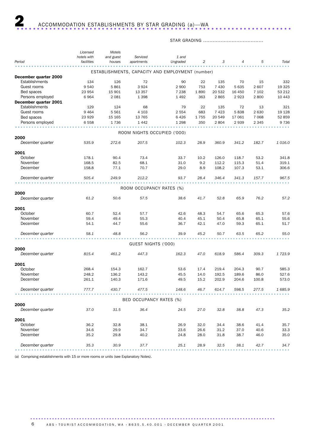# STAR GRADING ......................................

|                          | Licensed    | Motels    |                             |                                                  |      |         |                |         |         |
|--------------------------|-------------|-----------|-----------------------------|--------------------------------------------------|------|---------|----------------|---------|---------|
|                          | hotels with | and guest | Serviced                    | 1 and                                            |      |         |                |         |         |
| Period                   | facilities  | houses    | apartments                  | Ungraded                                         | 2    | 3       | $\overline{4}$ | 5       | Total   |
|                          |             |           |                             | ESTABLISHMENTS, CAPACITY AND EMPLOYMENT (number) |      |         |                |         |         |
| December quarter 2000    |             |           |                             |                                                  |      |         |                |         |         |
| Establishments           | 134         | 126       | 72                          | 90                                               | 22   | 135     | 70             | 15      | 332     |
| Guest rooms              | 9 5 4 0     | 5861      | 3924                        | 2 9 0 0                                          | 753  | 7 4 3 0 | 5 6 3 5        | 2 607   | 19 3 25 |
| Bed spaces               | 23 954      | 15 901    | 13 3 5 7                    | 7 2 3 8                                          | 1890 | 20 532  | 16 450         | 7 1 0 2 | 53 212  |
| Persons employed         | 6964        | 2 0 8 1   | 1 3 9 8                     | 1 4 9 2                                          | 363  | 2865    | 2923           | 2800    | 10 4 43 |
| December quarter 2001    |             |           |                             |                                                  |      |         |                |         |         |
| Establishments           | 129         | 124       | 68                          | 79                                               | 22   | 135     | 72             | 13      | 321     |
| Guest rooms              | 9 4 6 4     | 5 5 6 1   | 4 1 0 3                     | 2 5 5 4                                          | 683  | 7 4 2 3 | 5838           | 2 6 3 0 | 19 1 28 |
| Bed spaces               | 23 929      | 15 165    | 13 765                      | 6426                                             | 1755 | 20 549  | 17 061         | 7 0 6 8 | 52 859  |
| Persons employed         | 6 5 5 8     | 1736      | 1 4 4 2                     | 1 2 9 8                                          | 350  | 2804    | 2939           | 2 3 4 5 | 9736    |
|                          |             |           |                             |                                                  |      |         |                |         |         |
|                          |             |           | ROOM NIGHTS OCCUPIED ('000) |                                                  |      |         |                |         |         |
| 2000<br>December quarter | 535.9       | 272.6     | 207.5                       | 102.3                                            | 28.9 | 360.9   | 341.2          | 182.7   | 1016.0  |
|                          |             |           |                             |                                                  |      |         |                |         |         |
| 2001                     |             |           |                             |                                                  |      |         |                |         |         |
| October                  | 178.1       | 90.4      | 73.4                        | 33.7                                             | 10.2 | 126.0   | 118.7          | 53.2    | 341.8   |
| November                 | 168.5       | 82.5      | 68.1                        | 31.0                                             | 9.2  | 112.2   | 115.3          | 51.4    | 319.1   |
| December                 | 158.8       | 77.1      | 70.7                        | 29.0                                             | 8.9  | 108.2   | 107.3          | 53.1    | 306.6   |
| December quarter         | 505.4       | 249.9     | 212.2                       | 93.7                                             | 28.4 | 346.4   | 341.3          | 157.7   | 967.5   |
|                          |             |           |                             |                                                  |      |         |                |         |         |
| 2000                     |             |           | ROOM OCCUPANCY RATES (%)    |                                                  |      |         |                |         |         |
| December quarter         | 61.2        | 50.6      | 57.5                        | 38.6                                             | 41.7 | 52.8    | 65.9           | 76.2    | 57.2    |
| 2001                     |             |           |                             |                                                  |      |         |                |         |         |
| October                  | 60.7        | 52.4      | 57.7                        | 42.6                                             | 48.3 | 54.7    | 65.6           | 65.3    | 57.6    |
| November                 | 59.4        | 49.4      | 55.3                        | 40.4                                             | 45.1 | 50.4    | 65.8           | 65.1    | 55.6    |
| December                 | 54.1        | 44.7      | 55.6                        | 36.7                                             | 42.1 | 47.0    | 59.3           | 65.1    | 51.7    |
|                          |             |           |                             |                                                  |      |         |                |         |         |
| December quarter         | 58.1        | 48.8      | 56.2                        | 39.9                                             | 45.2 | 50.7    | 63.5           | 65.2    | 55.0    |
|                          |             |           | GUEST NIGHTS ('000)         |                                                  |      |         |                |         |         |
| 2000                     |             |           |                             |                                                  |      |         |                |         |         |
| December quarter         | 815.4       | 461.2     | 447.3                       | 162.3                                            | 47.0 | 618.9   | 586.4          | 309.3   | 1723.9  |
| 2001                     |             |           |                             |                                                  |      |         |                |         |         |
| October                  | 268.4       | 154.3     | 162.7                       | 53.6                                             | 17.4 | 219.4   | 204.3          | 90.7    | 585.3   |
| November                 | 248.2       | 136.2     | 143.2                       | 45.5                                             | 14.0 | 192.5   | 189.6          | 86.0    | 527.6   |
| December                 | 261.1       | 140.3     | 171.6                       | 49.5                                             | 15.2 | 202.9   | 204.6          | 100.8   | 573.0   |
| December quarter         | 777.7       | 430.7     | 477.5                       | 148.6                                            | 46.7 | 614.7   | 598.5          | 277.5   | 1685.9  |
|                          |             |           |                             |                                                  |      |         |                |         |         |
|                          |             |           | BED OCCUPANCY RATES (%)     |                                                  |      |         |                |         |         |
| 2000                     |             |           |                             |                                                  |      |         |                |         |         |
| December quarter         | 37.0        | 31.5      | 36.4                        | 24.5                                             | 27.0 | 32.8    | 38.8           | 47.3    | 35.2    |
| 2001                     |             |           |                             |                                                  |      |         |                |         |         |
| October                  | 36.2        | 32.8      | 38.1                        | 26.9                                             | 32.0 | 34.4    | 38.6           | 41.4    | 35.7    |
| November                 | 34.6        | 29.9      | 34.7                        | 23.6                                             | 26.6 | 31.2    | 37.0           | 40.6    | 33.3    |
| December                 | 35.2        | 29.8      | 40.2                        | 24.8                                             | 28.0 | 31.8    | 38.7           | 46.0    | 35.0    |
| December quarter         | 35.3        | 30.9      | 37.7                        | 25.1                                             | 28.9 | 32.5    | 38.1           | 42.7    | 34.7    |
|                          |             |           |                             |                                                  |      |         |                |         |         |

(a) Comprising establishments with 15 or more rooms or units (see Explanatory Notes).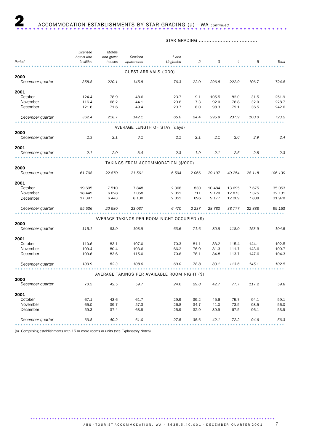## STAR GRADING ......................................

|                  | Licensed    | Motels    |                               |                                               |                |         |                |         |         |
|------------------|-------------|-----------|-------------------------------|-----------------------------------------------|----------------|---------|----------------|---------|---------|
|                  | hotels with | and guest | Serviced                      | 1 and                                         |                |         |                |         |         |
| Period           | facilities  | houses    | apartments                    | Ungraded                                      | $\overline{c}$ | 3       | $\overline{4}$ | 5       | Total   |
|                  |             |           | GUEST ARRIVALS ('000)         |                                               |                |         |                |         |         |
| 2000             |             |           |                               |                                               |                |         |                |         |         |
| December quarter | 358.8       | 220.1     | 145.8                         | 76.3                                          | 22.0           | 296.8   | 222.9          | 106.7   | 724.8   |
| 2001             |             |           |                               |                                               |                |         |                |         |         |
| October          | 124.4       | 78.9      | 48.6                          | 23.7                                          | 9.1            | 105.5   | 82.0           | 31.5    | 251.9   |
| November         | 116.4       | 68.2      | 44.1                          | 20.6                                          | 7.3            | 92.0    | 76.8           | 32.0    | 228.7   |
| December         | 121.6       | 71.6      | 49.4                          | 20.7                                          | 8.0            | 98.3    | 79.1           | 36.5    | 242.6   |
| December quarter | 362.4       | 218.7     | 142.1                         | 65.0                                          | 24.4           | 295.9   | 237.9          | 100.0   | 723.2   |
|                  |             |           | AVERAGE LENGTH OF STAY (days) |                                               |                |         |                |         |         |
| 2000             |             |           |                               |                                               |                |         |                |         |         |
| December quarter | 2.3         | 2.1       | 3.1                           | 2.1                                           | 2.1            | 2.1     | 2.6            | 2.9     | 2.4     |
| 2001             |             |           |                               |                                               |                |         |                |         |         |
| December quarter | 2.1         | 2.0       | 3.4                           | 2.3                                           | 1.9            | 2.1     | 2.5            | 2.8     | 2.3     |
|                  |             |           |                               | TAKINGS FROM ACCOMMODATION (\$'000)           |                |         |                |         |         |
| 2000             |             |           |                               |                                               |                |         |                |         |         |
| December quarter | 61 708      | 22 870    | 21 561                        | 6504                                          | 2066           | 29 197  | 40 254         | 28 118  | 106 139 |
| 2001             |             |           |                               |                                               |                |         |                |         |         |
| October          | 19 695      | 7 5 1 0   | 7848                          | 2 3 6 8                                       | 830            | 10 4 84 | 13 695         | 7675    | 35 053  |
| November         | 18 4 45     | 6628      | 7 0 5 8                       | 2 0 5 1                                       | 711            | 9 1 2 0 | 12873          | 7 3 7 5 | 32 131  |
| December         | 17 397      | 6443      | 8 1 3 0                       | 2 0 5 1                                       | 696            | 9 1 7 7 | 12 209         | 7838    | 31970   |
| December quarter | 55 536      | 20 580    | 23 037                        | 6470                                          | 2 2 3 7        | 28 780  | 38 777         | 22 888  | 99 153  |
|                  |             |           |                               | AVERAGE TAKINGS PER ROOM NIGHT OCCUPIED (\$)  |                |         |                |         |         |
| 2000             |             |           |                               |                                               |                |         |                |         |         |
| December quarter | 115.1       | 83.9      | 103.9                         | 63.6                                          | 71.6           | 80.9    | 118.0          | 153.9   | 104.5   |
| 2001             |             |           |                               |                                               |                |         |                |         |         |
| October          | 110.6       | 83.1      | 107.0                         | 70.3                                          | 81.1           | 83.2    | 115.4          | 144.1   | 102.5   |
| November         | 109.4       | 80.4      | 103.6                         | 66.2                                          | 76.9           | 81.3    | 111.7          | 143.6   | 100.7   |
| December         | 109.6       | 83.6      | 115.0                         | 70.6                                          | 78.1           | 84.8    | 113.7          | 147.6   | 104.3   |
| December quarter | 109.9       | 82.3      | 108.6                         | 69.0                                          | 78.8           | 83.1    | 113.6          | 145.1   | 102.5   |
|                  |             |           |                               | AVERAGE TAKINGS PER AVAILABLE ROOM NIGHT (\$) |                |         |                |         |         |
| 2000             |             |           |                               |                                               |                |         |                |         |         |
| December quarter | 70.5        | 42.5      | 59.7                          | 24.6                                          | 29.8           | 42.7    | 77.7           | 117.2   | 59.8    |
| 2001             |             |           |                               |                                               |                |         |                |         |         |
| October          | 67.1        | 43.6      | 61.7                          | 29.9                                          | 39.2           | 45.6    | 75.7           | 94.1    | 59.1    |
| November         | 65.0        | 39.7      | 57.3                          | 26.8                                          | 34.7           | 41.0    | 73.5           | 93.5    | 56.0    |
| December         | 59.3        | 37.4      | 63.9                          | 25.9                                          | 32.9           | 39.9    | 67.5           | 96.1    | 53.9    |
| December quarter | 63.8        | 40.2      | 61.0                          | 27.5                                          | 35.6           | 42.1    | 72.2           | 94.6    | 56.3    |
|                  |             |           |                               |                                               |                |         |                |         |         |

(a) Comprising establishments with 15 or more rooms or units (see Explanatory Notes).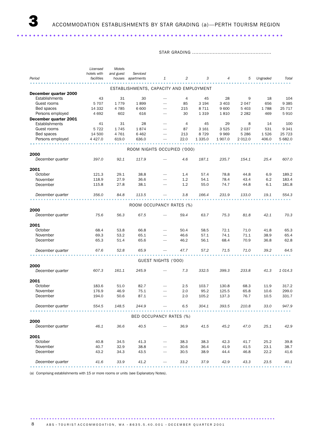..................................................................

STAR GRADING ..................................................

|                       | Licensed       | Motels    |                                         |                               |      |             |         |           |          |                                                                                                       |
|-----------------------|----------------|-----------|-----------------------------------------|-------------------------------|------|-------------|---------|-----------|----------|-------------------------------------------------------------------------------------------------------|
|                       | hotels with    | and guest | Serviced                                |                               |      |             |         |           |          |                                                                                                       |
| Period                | facilities     |           | houses apartments                       | 1                             | 2    | 3           | 4       | 5         | Ungraded | Total                                                                                                 |
|                       |                |           | ESTABLISHMENTS, CAPACITY AND EMPLOYMENT |                               |      |             |         |           |          |                                                                                                       |
| December quarter 2000 |                |           |                                         |                               |      |             |         |           |          |                                                                                                       |
| Establishments        | 43             | 31        | 30                                      | $\overline{\phantom{0}}$      | 4    | 45          | 28      | 9         | 18       | 104                                                                                                   |
| Guest rooms           | 5 7 0 7        | 1 7 7 9   | 1899                                    |                               | 85   | 3 1 9 4     | 3 4 0 3 | 2047      | 656      | 9 3 8 5                                                                                               |
| Bed spaces            | 14 3 32        | 4 7 8 5   | 6 600                                   |                               | 215  | 8 7 1 1     | 9600    | 5 4 0 3   | 1788     | 25 717                                                                                                |
| Persons employed      | 4 6 9 2        | 602       | 616                                     |                               | 30   | 1 3 1 9     | 1810    | 2 2 8 2   | 469      | 5910                                                                                                  |
| December quarter 2001 |                |           |                                         |                               |      |             |         |           |          |                                                                                                       |
| Establishments        | 41             | 31        | 28                                      |                               | 4    | 45          | 29      | 8         | 14       | 100                                                                                                   |
| Guest rooms           | 5 7 2 2        | 1745      | 1874                                    |                               | 87   | 3 1 6 1     | 3525    | 2 0 3 7   | 531      | 9 3 4 1                                                                                               |
| Bed spaces            | 14 500         | 4 7 6 1   | 6462                                    |                               | 213  | 8729        | 9969    | 5 2 8 6   | 1526     | 25 7 23                                                                                               |
| Persons employed      | 4 4 2 7 .0     | 619.0     | 636.0                                   |                               | 22.0 | 1 3 3 5 . 0 | 1907.0  | 2 0 1 2.0 | 406.0    | 5 682.0                                                                                               |
|                       |                |           |                                         |                               |      |             |         |           |          |                                                                                                       |
| 2000                  |                |           | ROOM NIGHTS OCCUPIED ('000)             |                               |      |             |         |           |          |                                                                                                       |
| December quarter      | 397.0          | 92.1      | 117.9                                   |                               | 4.6  | 187.1       | 235.7   | 154.1     | 25.4     | 607.0                                                                                                 |
|                       |                |           |                                         |                               |      |             |         |           |          |                                                                                                       |
| 2001<br>October       |                | 29.1      | 38.8                                    |                               | 1.4  | 57.4        | 78.8    | 44.8      | 6.9      | 189.2                                                                                                 |
| November              | 121.3<br>118.9 | 27.9      | 36.6                                    |                               | 1.2  | 54.1        | 78.4    | 43.4      | 6.2      | 183.4                                                                                                 |
| December              | 115.8          | 27.8      | 38.1                                    |                               | 1.2  | 55.0        | 74.7    | 44.8      | 6.1      | 181.8                                                                                                 |
|                       |                |           |                                         |                               |      |             |         |           |          |                                                                                                       |
| December quarter      | 356.0          | 84.8      | 113.5                                   |                               | 3.8  | 166.4       | 231.9   | 133.0     | 19.1     | 554.3                                                                                                 |
|                       |                |           |                                         | ROOM OCCUPANCY RATES (%)      |      |             |         |           |          |                                                                                                       |
| 2000                  |                |           |                                         |                               |      |             |         |           |          |                                                                                                       |
| December quarter      | 75.6           | 56.3      | 67.5                                    |                               | 59.4 | 63.7        | 75.3    | 81.8      | 42.1     | 70.3                                                                                                  |
| 2001                  |                |           |                                         |                               |      |             |         |           |          |                                                                                                       |
| October               | 68.4           | 53.8      | 66.8                                    |                               | 50.4 | 58.5        | 72.1    | 71.0      | 41.8     | 65.3                                                                                                  |
| November              | 69.3           | 53.2      | 65.1                                    |                               | 46.6 | 57.1        | 74.1    | 71.1      | 38.9     | 65.4                                                                                                  |
| December              | 65.3           | 51.4      | 65.6                                    |                               | 46.2 | 56.1        | 68.4    | 70.9      | 36.8     | 62.8                                                                                                  |
|                       |                |           |                                         |                               |      |             |         |           |          |                                                                                                       |
| December quarter      | 67.6           | 52.8      | 65.9                                    |                               | 47.7 | 57.2        | 71.5    | 71.0      | 39.2     | 64.5                                                                                                  |
|                       |                |           |                                         | GUEST NIGHTS ('000)           |      |             |         |           |          |                                                                                                       |
| 2000                  |                |           |                                         |                               |      |             |         |           |          |                                                                                                       |
| December quarter      | 607.3          | 161.1     | 245.9                                   |                               | 7.3  | 332.5       | 399.3   | 233.8     | 41.3     | 1014.3                                                                                                |
| 2001                  |                |           |                                         |                               |      |             |         |           |          |                                                                                                       |
| October               | 183.6          | 51.0      | 82.7                                    |                               | 2.5  | 103.7       | 130.8   | 68.3      | 11.9     | 317.2                                                                                                 |
| November              | 176.9          | 46.9      | 75.1                                    |                               | 2.0  | 95.2        | 125.5   | 65.8      | 10.6     | 299.0                                                                                                 |
| December              | 194.0          | 50.6      | 87.1                                    | $\overbrace{\phantom{12332}}$ | 2.0  | 105.2       | 137.3   | 76.7      | 10.5     | 331.7                                                                                                 |
| December quarter      | 554.5          | 148.5     | 244.9                                   |                               | 6.5  | 304.1       | 393.5   | 210.8     | 33.0     | 947.9                                                                                                 |
|                       |                |           |                                         |                               |      |             |         |           |          |                                                                                                       |
|                       |                |           |                                         | BED OCCUPANCY RATES (%)       |      |             |         |           |          |                                                                                                       |
| 2000                  |                |           |                                         |                               |      |             |         |           |          |                                                                                                       |
| December quarter      | 46.1           | 36.6      | 40.5                                    |                               | 36.9 | 41.5        | 45.2    | 47.0      | 25.1     | 42.9                                                                                                  |
| 2001                  |                |           |                                         |                               |      |             |         |           |          |                                                                                                       |
| October               | 40.8           | 34.5      | 41.3                                    |                               | 38.3 | 38.3        | 42.3    | 41.7      | 25.2     | 39.8                                                                                                  |
| November              | 40.7           | 32.9      | 38.8                                    |                               | 30.6 | 36.4        | 41.9    | 41.5      | 23.1     | 38.7                                                                                                  |
| December              | 43.2           | 34.3      | 43.5                                    |                               | 30.5 | 38.9        | 44.4    | 46.8      | 22.2     | 41.6                                                                                                  |
| December quarter      | 41.6           | 33.9      | 41.2                                    |                               | 33.2 | 37.9        | 42.9    | 43.3      | 23.5     | 40.1                                                                                                  |
|                       |                |           |                                         |                               |      |             |         |           |          | $\begin{array}{cccccccccccccc} \bullet & \bullet & \bullet & \bullet & \bullet & \bullet \end{array}$ |

(a) Comprising establishments with 15 or more rooms or units (see Explanatory Notes).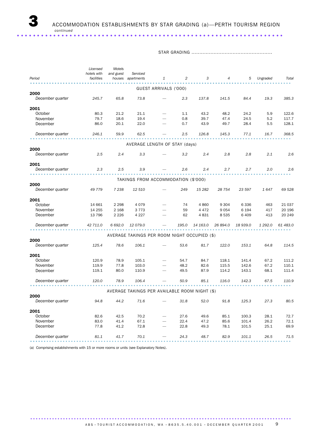STAR GRADING ...................................................

| Period           | Licensed<br>hotels with<br>facilities | Motels<br>and guest | Serviced<br>houses apartments | 1                                             | $\overline{2}$ | 3        | $\overline{4}$ | 5        | Ungraded | Total    |
|------------------|---------------------------------------|---------------------|-------------------------------|-----------------------------------------------|----------------|----------|----------------|----------|----------|----------|
|                  |                                       |                     |                               |                                               |                |          |                |          |          |          |
|                  |                                       |                     |                               | GUEST ARRIVALS ('000)                         |                |          |                |          |          |          |
| 2000             |                                       |                     |                               |                                               |                |          |                |          |          |          |
| December quarter | 245.7                                 | 65.8                | 73.8                          |                                               | 2.3            | 137.8    | 141.5          | 84.4     | 19.3     | 385.3    |
| 2001             |                                       |                     |                               |                                               |                |          |                |          |          |          |
| October          | 80.3                                  | 21.2                | 21.1                          |                                               | 1.1            | 43.2     | 48.2           | 24.2     | 5.9      | 122.6    |
| November         | 79.7                                  | 18.6                | 19.4                          |                                               | 0.8            | 39.7     | 47.4           | 24.5     | 5.2      | 117.7    |
| December         | 86.0                                  | 20.1                | 22.0                          |                                               | 0.7            | 43.9     | 49.7           | 28.4     | 5.5      | 128.1    |
| December quarter | 246.1                                 | 59.9                | 62.5                          |                                               | 2.5            | 126.8    | 145.3          | 77.1     | 16.7     | 368.5    |
|                  |                                       |                     |                               | AVERAGE LENGTH OF STAY (days)                 |                |          |                |          |          |          |
| 2000             |                                       |                     |                               |                                               |                |          |                |          |          |          |
| December quarter | 2.5                                   | 2.4                 | 3.3                           |                                               | 3.2            | 2.4      | 2.8            | 2.8      | 2.1      | 2.6      |
| 2001             |                                       |                     |                               |                                               |                |          |                |          |          |          |
| December quarter | 2.3                                   | 2.5                 | 3.9                           |                                               | 2.6            | 2.4      | 2.7            | 2.7      | 2.0      | 2.6      |
|                  |                                       |                     |                               | TAKINGS FROM ACCOMMODATION (\$'000)           |                |          |                |          |          |          |
| 2000             |                                       |                     |                               |                                               |                |          |                |          |          |          |
| December quarter | 49 779                                | 7 2 3 8             | 12 510                        |                                               | 249            | 15 2 82  | 28 754         | 23 597   | 1647     | 69 528   |
| 2001             |                                       |                     |                               |                                               |                |          |                |          |          |          |
| October          | 14 661                                | 2 2 9 8             | 4079                          |                                               | 74             | 4 8 6 0  | 9 3 0 4        | 6 3 3 6  | 463      | 21 0 37  |
| November         | 14 255                                | 2 1 6 8             | 3 7 7 3                       |                                               | 59             | 4 4 7 2  | 9054           | 6 1 9 4  | 417      | 20 196   |
| December         | 13 796                                | 2 2 2 6             | 4 2 2 7                       |                                               | 62             | 4831     | 8 5 3 5        | 6 4 0 9  | 413      | 20 249   |
| December quarter | 42 711.0                              | 6 692.0             | 12079.0                       |                                               | 195.0          | 14 163.0 | 26 894.0       | 18 939.0 | 1 292.0  | 61 483.0 |
|                  |                                       |                     |                               | AVERAGE TAKINGS PER ROOM NIGHT OCCUPIED (\$)  |                |          |                |          |          |          |
| 2000             |                                       |                     |                               |                                               |                |          |                |          |          |          |
| December quarter | 125.4                                 | 78.6                | 106.1                         |                                               | 53.6           | 81.7     | 122.0          | 153.1    | 64.8     | 114.5    |
| 2001             |                                       |                     |                               |                                               |                |          |                |          |          |          |
| October          | 120.9                                 | 78.9                | 105.1                         |                                               | 54.7           | 84.7     | 118.1          | 141.4    | 67.2     | 111.2    |
| November         | 119.9                                 | 77.8                | 103.0                         |                                               | 48.2           | 82.6     | 115.5          | 142.6    | 67.2     | 110.1    |
| December         | 119.1                                 | 80.0                | 110.9                         |                                               | 49.5           | 87.9     | 114.2          | 143.1    | 68.1     | 111.4    |
| December quarter | 120.0                                 | 78.9                | 106.4                         |                                               | 50.9           | 85.1     | 116.0          | 142.3    | 67.5     | 110.9    |
|                  |                                       |                     |                               | AVERAGE TAKINGS PER AVAILABLE ROOM NIGHT (\$) |                |          |                |          |          |          |
| 2000             |                                       |                     |                               |                                               |                |          |                |          |          |          |
| December quarter | 94.8                                  | 44.2                | 71.6                          |                                               | 31.8           | 52.0     | 91.8           | 125.3    | 27.3     | 80.5     |
| 2001             |                                       |                     |                               |                                               |                |          |                |          |          |          |
| October          | 82.6                                  | 42.5                | 70.2                          |                                               | 27.6           | 49.6     | 85.1           | 100.3    | 28.1     | 72.7     |
| November         | 83.0                                  | 41.4                | 67.1                          |                                               | 22.4           | 47.2     | 85.6           | 101.4    | 26.2     | 72.1     |
| December         | 77.8                                  | 41.2                | 72.8                          |                                               | 22.8           | 49.3     | 78.1           | 101.5    | 25.1     | 69.9     |
| December quarter | 81.1                                  | 41.7                | 70.1                          |                                               | 24.3           | 48.7     | 82.9           | 101.1    | 26.5     | 71.5     |
|                  |                                       |                     |                               |                                               |                |          |                |          |          |          |

(a) Comprising establishments with 15 or more rooms or units (see Explanatory Notes).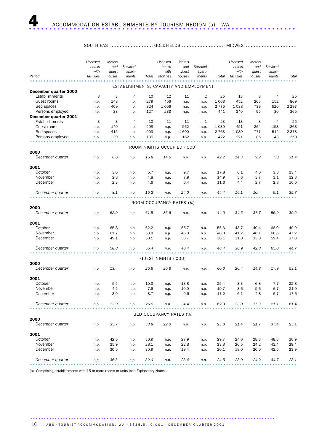#### SOUTH EAST............................... GOLDFIELDS............................. MIDWEST...........................

|                                         | Licensed<br>hotels<br>with | Motels<br>and<br>guest | Serviced<br>apart-                      |       | Licensed<br>hotels<br>with  | Motels<br>and<br>guest | Serviced<br>apart- |         | Licensed<br>hotels<br>with | Motels<br>and<br>guest | Serviced<br>apart- |         |
|-----------------------------------------|----------------------------|------------------------|-----------------------------------------|-------|-----------------------------|------------------------|--------------------|---------|----------------------------|------------------------|--------------------|---------|
| Period                                  | facilities                 | houses                 | ments                                   | Total | facilities                  | houses                 | ments              | Total   | facilities                 | houses                 | ments              | Total   |
|                                         |                            |                        | ESTABLISHMENTS, CAPACITY AND EMPLOYMENT |       |                             |                        |                    |         |                            |                        |                    |         |
| December quarter 2000<br>Establishments | 3                          | 3                      | $\overline{4}$                          | 10    | 12                          | 11                     | $\overline{2}$     | 25      | 13                         | 8                      | 4                  | 25      |
| Guest rooms                             | n.p.                       | 148                    | n.p.                                    | 279   | 456                         | n.p.                   | n.p.               | 1 0 6 3 | 452                        | 265                    | 152                | 869     |
| Bed spaces                              | n.p.                       | 409                    | n.p.                                    | 824   | 1056                        | n.p.                   | n.p.               | 2 7 7 5 | 1038                       | 739                    | 520                | 2 297   |
| Persons employed                        | n.p.                       | 38                     | n.p.                                    | 127   | 233                         | n.p.                   | n.p.               | 441     | 240                        | 95                     | 30                 | 365     |
| December quarter 2001<br>Establishments | 3                          | 3                      | 4                                       | 10    | 11                          | 11                     | 1                  | 23      | 13                         | 8                      | 4                  | 25      |
| Guest rooms                             | n.p.                       | 149                    | n.p.                                    | 298   | n.p.                        | 562                    | n.p.               | 1 0 3 9 | 451                        | 264                    | 153                | 868     |
| Bed spaces                              | n.p.                       | 415                    | n.p.                                    | 903   | n.p.                        | 1600                   | n.p.               | 2 7 6 3 | 1 0 8 9                    | 777                    | 512                | 2 3 7 8 |
| Persons employed                        | n.p.                       | 39                     | n.p.                                    | 135   | n.p.                        | 162                    | n.p.               | 422     | 221                        | 86                     | 43                 | 350     |
|                                         |                            |                        |                                         |       |                             |                        |                    |         |                            |                        |                    |         |
| 2000                                    |                            |                        |                                         |       | ROOM NIGHTS OCCUPIED ('000) |                        |                    |         |                            |                        |                    |         |
| December quarter                        | n.p.                       | 8.6                    | n.p.                                    | 15.8  | 14.6                        | n.p.                   | n.p.               | 42.2    | 14.3                       | 9.2                    | 7.8                | 31.4    |
| 2001                                    |                            |                        |                                         |       |                             |                        |                    |         |                            |                        |                    |         |
| October                                 | n.p.                       | 3.0                    | n.p.                                    | 5.7   | n.p.                        | 9.7                    | n.p.               | 17.8    | 6.1                        | 4.0                    | 3.3                | 13.4    |
| November                                | n.p.                       | 2.8                    | n.p.                                    | 4.8   | n.p.                        | 7.9                    | n.p.               | 14.9    | 5.6                        | 3.7                    | 3.1                | 12.3    |
| December                                | n.p.                       | 2.3                    | n.p.                                    | 4.6   | n.p.                        | 6.4                    | n.p.               | 11.6    | 4.4                        | 2.7                    | 2.8                | 10.0    |
| December quarter                        | n.p.                       | 8.1                    | n.p.                                    | 15.2  | n.p.                        | 24.0                   | n.p.               | 44.4    | 16.1                       | 10.4                   | 9.1                | 35.7    |
|                                         |                            |                        |                                         |       | ROOM OCCUPANCY RATES (%)    |                        |                    |         |                            |                        |                    |         |
| 2000                                    |                            |                        |                                         |       |                             |                        |                    |         |                            |                        |                    |         |
| December quarter                        | n.p.                       | 62.9                   | n.p.                                    | 61.5  | 36.6                        | n.p.                   | n.p.               | 44.0    | 34.5                       | 37.7                   | 55.9               | 39.2    |
| 2001                                    |                            |                        |                                         |       |                             |                        |                    |         |                            |                        |                    |         |
| October                                 | n.p.                       | 65.8                   | n.p.                                    | 62.2  | n.p.                        | 55.7                   | n.p.               | 55.3    | 43.7                       | 49.4                   | 68.9               | 49.9    |
| November                                | n.p.                       | 61.7                   | n.p.                                    | 53.8  | n.p.                        | 46.8                   | n.p.               | 48.0    | 41.2                       | 46.1                   | 66.6               | 47.2    |
| December                                | n.p.                       | 49.1                   | n.p.                                    | 50.1  | n.p.                        | 36.7                   | n.p.               | 36.1    | 31.8                       | 33.0                   | 59.4               | 37.0    |
| December quarter                        | n.p.                       | 58.8                   | n.p.                                    | 55.4  | n.p.                        | 46.4                   | n.p.               | 46.4    | 38.9                       | 42.8                   | 65.0               | 44.7    |
|                                         |                            |                        |                                         |       | GUEST NIGHTS ('000)         |                        |                    |         |                            |                        |                    |         |
| 2000                                    |                            |                        |                                         |       |                             |                        |                    |         |                            |                        |                    |         |
| December quarter                        | n.p.                       | 13.4                   | n.p.                                    | 25.6  | 20.8                        | n.p.                   | n.p.               | 60.0    | 20.4                       | 14.8                   | 17.9               | 53.1    |
| 2001                                    |                            |                        |                                         |       |                             |                        |                    |         |                            |                        |                    |         |
| October                                 | n.p.                       | 5.5                    | n.p.                                    | 10.3  | n.p.                        | 13.8                   | n.p.               | 25.4    | 8.3                        | 6.8                    | 7.7                | 22.8    |
| November                                | n.p.                       | 4.5                    | n.p.                                    | 7.6   | n.p.                        | 10.9                   | n.p.               | 19.7    | 8.6                        | 5.6                    | 6.7                | 21.0    |
| December                                | n.p.                       | 3.9                    | n.p.                                    | 8.7   | n.p.                        | 9.6                    | n.p.               | 17.2    | 6.1                        | 4.8                    | 6.7                | 17.6    |
| December quarter                        | n.p.                       | 13.9                   | n.p.                                    | 26.6  | n.p.                        | 34.4                   | n.p.               | 62.3    | 23.0                       | 17.3                   | 21.1               | 61.4    |
|                                         |                            |                        |                                         |       | BED OCCUPANCY RATES (%)     |                        |                    |         |                            |                        |                    |         |
| 2000                                    |                            |                        |                                         |       |                             |                        |                    |         |                            |                        |                    |         |
| December quarter                        | n.p.                       | 35.7                   | n.p.                                    | 33.8  | 22.0                        | n.p.                   | n.p.               | 23.8    | 21.4                       | 21.7                   | 37.4               | 25.1    |
| 2001                                    |                            |                        |                                         |       |                             |                        |                    |         |                            |                        |                    |         |
| October                                 | n.p.                       | 42.5                   | n.p.                                    | 36.9  | n.p.                        | 27.9                   | n.p.               | 29.7    | 24.6                       | 28.3                   | 48.3               | 30.9    |
| November                                | n.p.                       | 35.9                   | n.p.                                    | 28.1  | n.p.                        | 22.8                   | n.p.               | 23.8    | 26.5                       | 24.2                   | 43.4               | 29.4    |
| December                                | n.p.                       | 30.5                   | n.p.                                    | 30.9  | n.p.                        | 19.4                   | n.p.               | 20.1    | 18.0                       | 20.0                   | 42.5               | 23.9    |
| December quarter                        | n.p.                       | 36.3                   | n.p.                                    | 32.0  | n.p.                        | 23.4                   | n.p.               | 24.5    | 23.0                       | 24.2                   | 44.7               | 28.1    |

(a) Comprising establishments with 15 or more rooms or units (see Explanatory Notes).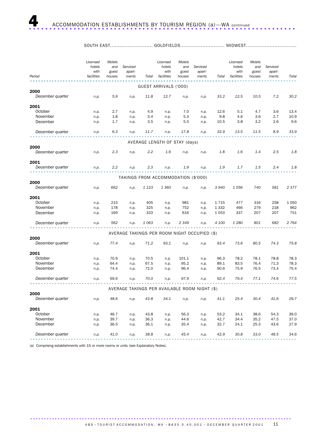SOUTH EAST................................ GOLDFIELDS............................ MIDWEST...........................

| Period           | Licensed<br>hotels<br>with<br>facilities | Motels<br>and<br>guest<br>houses | Serviced<br>apart-<br>ments | Total   | Licensed<br>hotels<br>with<br>facilities | Motels<br>and<br>guest<br>houses | Serviced<br>apart-<br>ments                   | Total   | Licensed<br>hotels<br>with<br>facilities | Motels<br>and<br>guest<br>houses | Serviced<br>apart-<br>ments | Total   |
|------------------|------------------------------------------|----------------------------------|-----------------------------|---------|------------------------------------------|----------------------------------|-----------------------------------------------|---------|------------------------------------------|----------------------------------|-----------------------------|---------|
|                  |                                          |                                  |                             |         |                                          |                                  |                                               |         |                                          |                                  |                             |         |
| 2000             |                                          |                                  |                             |         | GUEST ARRIVALS ('000)                    |                                  |                                               |         |                                          |                                  |                             |         |
| December quarter | n.p.                                     | 5.9                              | n.p.                        | 11.8    | 12.7                                     | n.p.                             | n.p.                                          | 33.2    | 12.5                                     | 10.5                             | 7.2                         | 30.2    |
|                  |                                          |                                  |                             |         |                                          |                                  |                                               |         |                                          |                                  |                             |         |
| 2001<br>October  | n.p.                                     | 2.7                              | n.p.                        | 4.9     | n.p.                                     | 7.0                              | n.p.                                          | 12.6    | 5.1                                      | 4.7                              | 3.6                         | 13.4    |
| November         | n.p.                                     | 1.8                              | n.p.                        | 3.4     | n.p.                                     | 5.3                              | n.p.                                          | 9.8     | 4.6                                      | 3.6                              | 2.7                         | 10.9    |
| December         | n.p.                                     | 1.7                              | n.p.                        | 3.5     | n.p.                                     | 5.5                              | n.p.                                          | 10.5    | 3.8                                      | 3.2                              | 2.6                         | 9.6     |
| December quarter | n.p.                                     | 6.3                              | n.p.                        | 11.7    | n.p.                                     | 17.8                             | n.p.                                          | 32.9    | 13.5                                     | 11.5                             | 8.9                         | 33.9    |
|                  |                                          |                                  |                             |         | AVERAGE LENGTH OF STAY (days)            |                                  |                                               |         |                                          |                                  |                             |         |
| 2000             |                                          |                                  |                             |         |                                          |                                  |                                               |         |                                          |                                  |                             |         |
| December quarter | n.p.                                     | 2.3                              | n.p.                        | 2.2     | 1.6                                      | n.p.                             | n.p.                                          | 1.8     | 1.6                                      | 1.4                              | 2.5                         | 1.8     |
| 2001             |                                          |                                  |                             |         |                                          |                                  |                                               |         |                                          |                                  |                             |         |
| December quarter | n.p.                                     | 2.2                              | n.p.                        | 2.3     | n.p.                                     | 1.9                              | n.p.                                          | 1.9     | 1.7                                      | 1.5                              | 2.4                         | 1.8     |
|                  |                                          |                                  |                             |         | TAKINGS FROM ACCOMMODATION (\$'000)      |                                  |                                               |         |                                          |                                  |                             |         |
| 2000             |                                          |                                  |                             |         |                                          |                                  |                                               |         |                                          |                                  |                             |         |
| December quarter | n.p.                                     | 662                              | n.p.                        | 1 1 2 3 | 1 3 6 0                                  | n.p.                             | n.p.                                          | 3 9 4 0 | 1056                                     | 740                              | 581                         | 2377    |
| 2001             |                                          |                                  |                             |         |                                          |                                  |                                               |         |                                          |                                  |                             |         |
| October          | n.p.                                     | 215                              | n.p.                        | 405     | n.p.                                     | 981                              | n.p.                                          | 1715    | 477                                      | 316                              | 258                         | 1 0 5 0 |
| November         | n.p.                                     | 178                              | n.p.                        | 325     | n.p.                                     | 752                              | n.p.                                          | 1 3 3 2 | 466                                      | 279                              | 218                         | 962     |
| December         | n.p.                                     | 169                              | n.p.                        | 333     | n.p.                                     | 616                              | n.p.                                          | 1 0 5 3 | 337                                      | 207                              | 207                         | 751     |
| December quarter | n.p.                                     | 562                              | n.p.                        | 1 0 6 3 | n.p.                                     | 2 3 4 9                          | n.p.                                          | 4 100   | 1 2 8 0                                  | 801                              | 682                         | 2 7 6 4 |
|                  |                                          |                                  |                             |         |                                          |                                  | AVERAGE TAKINGS PER ROOM NIGHT OCCUPIED (\$)  |         |                                          |                                  |                             |         |
| 2000             |                                          |                                  |                             |         |                                          |                                  |                                               |         |                                          |                                  |                             |         |
| December quarter | n.p.                                     | 77.4                             | n.p.                        | 71.2    | 93.1                                     | n.p.                             | n.p.                                          | 93.4    | 73.6                                     | 80.5                             | 74.3                        | 75.8    |
| 2001             |                                          |                                  |                             |         |                                          |                                  |                                               |         |                                          |                                  |                             |         |
| October          | n.p.                                     | 70.9                             | n.p.                        | 70.5    | n.p.                                     | 101.1                            | n.p.                                          | 96.3    | 78.2                                     | 78.1                             | 78.8                        | 78.3    |
| November         | n.p.                                     | 64.4                             | n.p.                        | 67.5    | n.p.                                     | 95.2                             | n.p.                                          | 89.1    | 83.5                                     | 76.4                             | 71.3                        | 78.3    |
| December         | n.p.                                     | 74.4                             | n.p.                        | 72.0    | n.p.                                     | 96.4                             | n.p.                                          | 90.6    | 75.9                                     | 76.5                             | 73.4                        | 75.4    |
| December quarter | n.p.                                     | 69.6                             | n.p.                        | 70.0    | n.p.                                     | 97.9                             | n.p.                                          | 92.4    | 79.4                                     | 77.1                             | 74.6                        | 77.5    |
|                  |                                          |                                  |                             |         |                                          |                                  | AVERAGE TAKINGS PER AVAILABLE ROOM NIGHT (\$) |         |                                          |                                  |                             |         |
| 2000             |                                          |                                  |                             |         |                                          |                                  |                                               |         |                                          |                                  |                             |         |
| December quarter | n.p.                                     | 48.6                             | n.p.                        | 43.8    | 34.1                                     | n.p.                             | n.p.                                          | 41.1    | 25.4                                     | 30.4                             | 41.6                        | 29.7    |
| 2001             |                                          |                                  |                             |         |                                          |                                  |                                               |         |                                          |                                  |                             |         |
| October          | n.p.                                     | 46.7                             | n.p.                        | 43.8    | n.p.                                     | 56.3                             | n.p.                                          | 53.2    | 34.1                                     | 38.6                             | 54.3                        | 39.0    |
| November         | n.p.                                     | 39.7                             | n.p.                        | 36.3    | n.p.                                     | 44.6                             | n.p.                                          | 42.7    | 34.4                                     | 35.2                             | 47.5                        | 37.0    |
| December         | n.p.                                     | 36.5                             | n.p.                        | 36.1    | n.p.                                     | 35.4                             | n.p.                                          | 32.7    | 24.1                                     | 25.3                             | 43.6                        | 27.9    |
| December quarter | n.p.                                     | 41.0                             | n.p.                        | 38.8    | n.p.                                     | 45.4                             | n.p.                                          | 42.9    | 30.8                                     | 33.0                             | 48.5                        | 34.6    |

(a) Comprising establishments with 15 or more rooms or units (see Explanatory Notes).

ABS  $\cdot$  TOURIST ACCOMMODATION, WA  $\cdot$  8635.5.40.001  $\cdot$  DECEMBER QUARTER 2001 11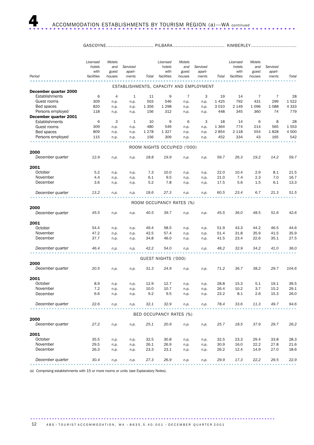|                                         | Licensed<br>hotels<br>with | Motels<br>and<br>guest | Serviced<br>apart-                      |         | Licensed<br>hotels<br>with  | Motels<br>and<br>guest | Serviced<br>apart- |         | Licensed<br>hotels<br>with | Motels<br>and<br>guest | Serviced<br>apart- |         |
|-----------------------------------------|----------------------------|------------------------|-----------------------------------------|---------|-----------------------------|------------------------|--------------------|---------|----------------------------|------------------------|--------------------|---------|
| Period                                  | facilities                 | houses                 | ments                                   | Total   | facilities                  | houses                 | ments              | Total   | facilities                 | houses                 | ments              | Total   |
|                                         |                            |                        | ESTABLISHMENTS, CAPACITY AND EMPLOYMENT |         |                             |                        |                    |         |                            |                        |                    |         |
| December quarter 2000                   |                            |                        |                                         |         |                             |                        |                    |         |                            |                        |                    |         |
| Establishments                          | 6                          | $\overline{4}$         | $\mathbf{1}$                            | 11      | 9                           | $\overline{7}$         | 3                  | 19      | 14                         | 7                      | 7                  | 28      |
| Guest rooms                             | 309                        | n.p.                   | n.p.                                    | 503     | 546                         | n.p.                   | n.p.               | 1425    | 792                        | 431                    | 299                | 1522    |
| Bed spaces                              | 820                        | n.p.                   | n.p.                                    | 1 3 5 6 | 1 2 9 8                     | n.p.                   | n.p.               | 3 0 1 0 | 2 1 4 9                    | 1 0 9 6                | 1088               | 4 3 3 3 |
| Persons employed                        | 118                        | n.p.                   | n.p.                                    | 156     | 312                         | n.p.                   | n.p.               | 448     | 345                        | 360                    | 74                 | 779     |
| December quarter 2001<br>Establishments | 6                          | 3                      | 1                                       | 10      | 9                           | 6                      | 3                  | 18      | 14                         | 6                      | 8                  | 28      |
| Guest rooms                             | 309                        | n.p.                   | n.p.                                    | 480     | 549                         | n.p.                   | n.p.               | 1 3 6 4 | 774                        | 214                    | 565                | 1553    |
| Bed spaces                              | 809                        | n.p.                   | n.p.                                    | 1 2 7 8 | 1 3 2 7                     | n.p.                   | n.p.               | 2854    | 2 1 1 8                    | 554                    | 1828               | 4 500   |
| Persons employed                        | 115                        | n.p.                   | n.p.                                    | 156     | 309                         | n.p.                   | n.p.               | 452     | 334                        | 43                     | 165                | 542     |
|                                         |                            |                        |                                         |         |                             |                        |                    |         |                            |                        |                    |         |
|                                         |                            |                        |                                         |         | ROOM NIGHTS OCCUPIED ('000) |                        |                    |         |                            |                        |                    |         |
| 2000                                    |                            |                        |                                         |         |                             |                        |                    |         |                            |                        |                    |         |
| December quarter                        | 12.9                       | n.p.                   | n.p.                                    | 18.8    | 19.9                        | n.p.                   | n.p.               | 59.7    | 26.3                       | 19.2                   | 14.2               | 59.7    |
| 2001                                    |                            |                        |                                         |         |                             |                        |                    |         |                            |                        |                    |         |
| October                                 | 5.2                        | n.p.                   | n.p.                                    | 7.3     | 10.0                        | n.p.                   | n.p.               | 22.0    | 10.4                       | 2.9                    | 8.1                | 21.5    |
| November                                | 4.4                        | n.p.                   | n.p.                                    | 6.1     | 9.5                         | n.p.                   | n.p.               | 21.0    | 7.4                        | 2.3                    | 7.0                | 16.7    |
| December                                | 3.6                        | n.p.                   | n.p.                                    | 5.2     | 7.8                         | n.p.                   | n.p.               | 17.5    | 5.6                        | 1.5                    | 6.1                | 13.3    |
| December quarter                        | 13.2                       | n.p.                   | n.p.                                    | 18.6    | 27.3                        | n.p.                   | n.p.               | 60.5    | 23.4                       | 6.7                    | 21.3               | 51.5    |
|                                         |                            |                        |                                         |         |                             |                        |                    |         |                            |                        |                    |         |
|                                         |                            |                        |                                         |         | ROOM OCCUPANCY RATES (%)    |                        |                    |         |                            |                        |                    |         |
| 2000                                    |                            |                        |                                         |         |                             |                        |                    |         |                            |                        |                    |         |
| December quarter                        | 45.5                       | n.p.                   | n.p.                                    | 40.5    | 39.7                        | n.p.                   | n.p.               | 45.5    | 36.0                       | 48.5                   | 51.6               | 42.6    |
| 2001                                    |                            |                        |                                         |         |                             |                        |                    |         |                            |                        |                    |         |
| October                                 | 54.4                       | n.p.                   | n.p.                                    | 49.4    | 58.5                        | n.p.                   | n.p.               | 51.9    | 43.3                       | 44.2                   | 46.5               | 44.6    |
| November                                | 47.2                       | n.p.                   | n.p.                                    | 42.5    | 57.4                        | n.p.                   | n.p.               | 51.4    | 31.8                       | 35.9                   | 41.5               | 35.9    |
| December                                | 37.7                       | n.p.                   | n.p.                                    | 34.8    | 46.0                        | n.p.                   | n.p.               | 41.5    | 23.4                       | 22.6                   | 35.1               | 27.5    |
| December quarter                        | 46.4                       | n.p.                   | n.p.                                    | 42.2    | 54.0                        | n.p.                   | n.p.               | 48.2    | 32.9                       | 34.2                   | 41.0               | 36.0    |
|                                         |                            |                        |                                         |         |                             |                        |                    |         |                            |                        |                    |         |
|                                         |                            |                        |                                         |         | GUEST NIGHTS ('000)         |                        |                    |         |                            |                        |                    |         |
| 2000                                    |                            |                        |                                         |         |                             |                        |                    |         |                            |                        |                    |         |
| December quarter                        | 20.5                       | n.p.                   | n.p.                                    | 31.3    | 24.9                        | n.p.                   | n.p.               | 71.2    | 36.7                       | 38.2                   | 29.7               | 104.6   |
| 2001                                    |                            |                        |                                         |         |                             |                        |                    |         |                            |                        |                    |         |
| October                                 | 8.9                        | n.p.                   | n.p.                                    | 12.9    | 12.7                        | n.p.                   | n.p.               | 28.8    | 15.3                       | 5.1                    | 19.1               | 39.5    |
| November                                | 7.2                        | n.p.                   | n.p.                                    | 10.0    | 10.7                        | n.p.                   | n.p.               | 26.4    | 10.2                       | 3.7                    | 15.2               | 29.1    |
| December                                | 6.6                        | n.p.                   | n.p.                                    | 9.2     | 9.5                         | n.p.                   | n.p.               | 23.2    | 8.1                        | 2.6                    | 15.3               | 26.0    |
| December quarter                        | 22.6                       | n.p.                   | n.p.                                    | 32.1    | 32.9                        | n.p.                   | n.p.               | 78.4    | 33.6                       | 11.3                   | 49.7               | 94.6    |
|                                         |                            |                        |                                         |         |                             |                        |                    |         |                            |                        |                    |         |
| 2000                                    |                            |                        |                                         |         | BED OCCUPANCY RATES (%)     |                        |                    |         |                            |                        |                    |         |
| December quarter                        | 27.2                       | n.p.                   | n.p.                                    | 25.1    | 20.9                        | n.p.                   | n.p.               | 25.7    | 18.5                       | 37.9                   | 29.7               | 26.2    |
| 2001                                    |                            |                        |                                         |         |                             |                        |                    |         |                            |                        |                    |         |
| October                                 | 35.5                       | n.p.                   | n.p.                                    | 32.5    | 30.8                        | n.p.                   | n.p.               | 32.5    | 23.3                       | 29.4                   | 33.8               | 28.3    |
| November                                | 29.5                       | n.p.                   | n.p.                                    | 26.1    | 26.9                        | n.p.                   | n.p.               | 30.9    | 16.0                       | 22.2                   | 27.8               | 21.6    |
| December                                | 26.3                       | n.p.                   | n.p.                                    | 23.3    | 23.1                        | n.p.                   | n.p.               | 26.2    | 12.4                       | 14.9                   | 27.0               | 18.6    |
| December quarter                        | 30.4                       | n.p.                   | n.p.                                    | 27.3    | 26.9                        | n.p.                   | n.p.               | 29.9    | 17.3                       | 22.2                   | 29.5               | 22.9    |
|                                         |                            |                        |                                         |         |                             |                        |                    |         |                            |                        |                    |         |

(a) Comprising establishments with 15 or more rooms or units (see Explanatory Notes).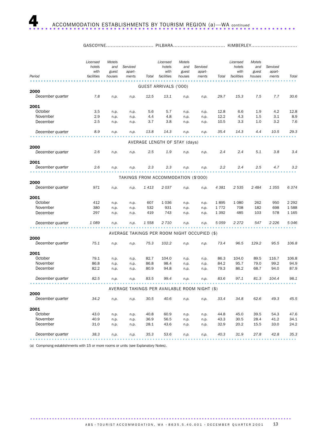| $H_{\mathcal{A}}$ | ור               | AUVE. |
|-------------------|------------------|-------|
|                   | - 1 L D <i>F</i> |       |

| Period           | Licensed<br>hotels<br>with<br>facilities | Motels<br>and<br>guest<br>houses | Serviced<br>apart-<br>ments | Total | Licensed<br>hotels<br>with<br>facilities | Motels<br>and<br>guest<br>houses | Serviced<br>apart-<br>ments                   | Total   | Licensed<br>hotels<br>with<br>facilities | Motels<br>and<br>guest<br>houses | Serviced<br>apart-<br>ments | Total   |
|------------------|------------------------------------------|----------------------------------|-----------------------------|-------|------------------------------------------|----------------------------------|-----------------------------------------------|---------|------------------------------------------|----------------------------------|-----------------------------|---------|
|                  |                                          |                                  |                             |       |                                          |                                  |                                               |         |                                          |                                  |                             |         |
| 2000             |                                          |                                  |                             |       | GUEST ARRIVALS ('000)                    |                                  |                                               |         |                                          |                                  |                             |         |
| December quarter | 7.8                                      | n.p.                             | n.p.                        | 12.5  | 13.1                                     | n.p.                             | n.p.                                          | 29.7    | 15.3                                     | 7.5                              | 7.7                         | 30.6    |
| 2001             |                                          |                                  |                             |       |                                          |                                  |                                               |         |                                          |                                  |                             |         |
| October          | 3.5                                      | n.p.                             | n.p.                        | 5.6   | 5.7                                      | n.p.                             | n.p.                                          | 12.8    | 6.6                                      | 1.9                              | 4.2                         | 12.8    |
| November         | 2.9                                      | n.p.                             | n.p.                        | 4.4   | 4.8                                      | n.p.                             | n.p.                                          | 12.2    | 4.3                                      | 1.5                              | 3.1                         | 8.9     |
| December         | 2.5                                      | n.p.                             | n.p.                        | 3.7   | 3.8                                      | n.p.                             | n.p.                                          | 10.5    | 3.3                                      | 1.0                              | 3.2                         | 7.6     |
| December quarter | 8.9                                      | n.p.                             | n.p.                        | 13.8  | 14.3                                     | n.p.                             | n.p.                                          | 35.4    | 14.3                                     | 4.4                              | 10.5                        | 29.3    |
|                  |                                          |                                  |                             |       |                                          |                                  |                                               |         |                                          |                                  |                             |         |
| 2000             |                                          |                                  |                             |       | AVERAGE LENGTH OF STAY (days)            |                                  |                                               |         |                                          |                                  |                             |         |
| December quarter | 2.6                                      | n.p.                             | n.p.                        | 2.5   | 1.9                                      | n.p.                             | n.p.                                          | 2.4     | 2.4                                      | 5.1                              | 3.8                         | 3.4     |
| 2001             |                                          |                                  |                             |       |                                          |                                  |                                               |         |                                          |                                  |                             |         |
| December quarter | 2.6                                      | n.p.                             | n.p.                        | 2.3   | 2.3                                      | n.p.                             | n.p.                                          | 2.2     | 2.4                                      | 2.5                              | 4.7                         | 3.2     |
|                  |                                          |                                  |                             |       | TAKINGS FROM ACCOMMODATION (\$'000)      |                                  |                                               |         |                                          |                                  |                             |         |
| 2000             |                                          |                                  |                             |       |                                          |                                  |                                               |         |                                          |                                  |                             |         |
| December quarter | 971                                      | n.p.                             | n.p.                        | 1 413 | 2037                                     | n.p.                             | n.p.                                          | 4 3 8 1 | 2 5 3 5                                  | 2484                             | 1 3 5 5                     | 6374    |
| 2001             |                                          |                                  |                             |       |                                          |                                  |                                               |         |                                          |                                  |                             |         |
| October          | 412                                      | n.p.                             | n.p.                        | 607   | 1 0 3 6                                  | n.p.                             | n.p.                                          | 1895    | 1 0 8 0                                  | 262                              | 950                         | 2 2 9 2 |
| November         | 380                                      | n.p.                             | n.p.                        | 532   | 931                                      | n.p.                             | n.p.                                          | 1 7 7 2 | 708                                      | 182                              | 698                         | 1588    |
| December         | 297                                      | n.p.                             | n.p.                        | 419   | 743                                      | n.p.                             | n.p.                                          | 1 3 9 2 | 485                                      | 103                              | 578                         | 1 1 65  |
| December quarter | 1 0 8 9                                  | n.p.                             | n.p.                        | 1 558 | 2 710                                    | n.p.                             | n.p.                                          | 5059    | 2 272                                    | 547                              | 2 2 2 6                     | 5046    |
|                  |                                          |                                  |                             |       |                                          |                                  | AVERAGE TAKINGS PER ROOM NIGHT OCCUPIED (\$)  |         |                                          |                                  |                             |         |
| 2000             |                                          |                                  |                             |       |                                          |                                  |                                               |         |                                          |                                  |                             |         |
| December quarter | 75.1                                     | n.p.                             | n.p.                        | 75.3  | 102.2                                    | n.p.                             | n.p.                                          | 73.4    | 96.5                                     | 129.2                            | 95.5                        | 106.8   |
| 2001             |                                          |                                  |                             |       |                                          |                                  |                                               |         |                                          |                                  |                             |         |
| October          | 79.1                                     | n.p.                             | n.p.                        | 82.7  | 104.0                                    | n.p.                             | n.p.                                          | 86.3    | 104.0                                    | 89.5                             | 116.7                       | 106.8   |
| November         | 86.8                                     | n.p.                             | n.p.                        | 86.8  | 98.4                                     | n.p.                             | n.p.                                          | 84.2    | 95.7                                     | 79.0                             | 99.2                        | 94.9    |
| December         | 82.2                                     | n.p.                             | n.p.                        | 80.9  | 94.8                                     | n.p.                             | n.p.                                          | 79.3    | 86.2                                     | 68.7                             | 94.0                        | 87.9    |
| December quarter | 82.5                                     | n.p.                             | n.p.                        | 83.5  | 99.4                                     | n.p.                             | n.p.                                          | 83.6    | 97.1                                     | 81.3                             | 104.4                       | 98.1    |
|                  |                                          |                                  |                             |       |                                          |                                  | AVERAGE TAKINGS PER AVAILABLE ROOM NIGHT (\$) |         |                                          |                                  |                             |         |
| 2000             |                                          |                                  |                             |       |                                          |                                  |                                               |         |                                          |                                  |                             |         |
| December quarter | 34.2                                     | n.p.                             | n.p.                        | 30.5  | 40.6                                     | n.p.                             | n.p.                                          | 33.4    | 34.8                                     | 62.6                             | 49.3                        | 45.5    |
| 2001             |                                          |                                  |                             |       |                                          |                                  |                                               |         |                                          |                                  |                             |         |
| October          | 43.0                                     | n.p.                             | n.p.                        | 40.8  | 60.9                                     | n.p.                             | n.p.                                          | 44.8    | 45.0                                     | 39.5                             | 54.3                        | 47.6    |
| November         | 40.9                                     | n.p.                             | n.p.                        | 36.9  | 56.5                                     | n.p.                             | n.p.                                          | 43.3    | 30.5                                     | 28.4                             | 41.2                        | 34.1    |
| December         | 31.0                                     | n.p.                             | n.p.                        | 28.1  | 43.6                                     | n.p.                             | n.p.                                          | 32.9    | 20.2                                     | 15.5                             | 33.0                        | 24.2    |
| December quarter | 38.3                                     | n.p.                             | n.p.                        | 35.3  | 53.6                                     | n.p.                             | n.p.                                          | 40.3    | 31.9                                     | 27.8                             | 42.8                        | 35.3    |

(a) Comprising establishments with 15 or more rooms or units (see Explanatory Notes).

ABS  $\cdot$  TOURIST ACCOMMODATION, WA  $\cdot$  8635.5.40.001  $\cdot$  DECEMBER QUARTER 2001 13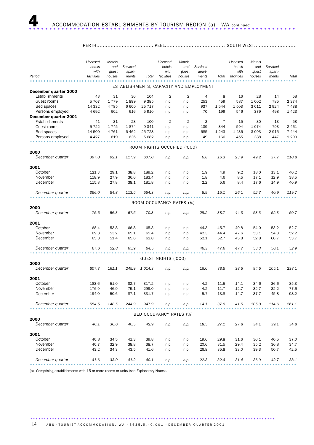#### PERTH.................................... PEEL...................................... SOUTH WEST...........................

|                                         | Licensed<br>hotels<br>with | Motels<br>and<br>guest | Serviced<br>apart- |                | Licensed<br>hotels<br>with  | Motels<br>and<br>guest | Serviced<br>apart-                      |          | Licensed<br>hotels<br>with | Motels<br>and<br>guest | Serviced<br>apart- |               |
|-----------------------------------------|----------------------------|------------------------|--------------------|----------------|-----------------------------|------------------------|-----------------------------------------|----------|----------------------------|------------------------|--------------------|---------------|
| Period                                  | facilities                 | houses                 | ments              | Total          | facilities                  | houses                 | ments                                   | Total    | facilities                 | houses                 | ments              | Total         |
|                                         |                            |                        |                    |                |                             |                        | ESTABLISHMENTS, CAPACITY AND EMPLOYMENT |          |                            |                        |                    |               |
| December quarter 2000<br>Establishments |                            |                        |                    |                |                             |                        |                                         |          |                            |                        |                    |               |
| Guest rooms                             | 43<br>5 7 0 7              | 31<br>1779             | 30<br>1899         | 104<br>9 3 8 5 | 2                           | 2                      | 4<br>253                                | 8<br>459 | 16<br>587                  | 28<br>1 0 0 2          | 14<br>785          | 58<br>2 3 7 4 |
| Bed spaces                              | 14 3 32                    | 4785                   | 6 600              | 25 717         | n.p.<br>n.p.                | n.p.<br>n.p.           | 937                                     | 1544     | 1503                       | 3 0 1 1                | 2924               | 7438          |
| Persons employed                        | 4 6 9 2                    | 602                    | 616                | 5910           | n.p.                        | n.p.                   | 70                                      | 199      | 546                        | 379                    | 498                | 1 4 2 3       |
| December quarter 2001                   |                            |                        |                    |                |                             |                        |                                         |          |                            |                        |                    |               |
| Establishments                          | 41                         | 31                     | 28                 | 100            | 2                           | 2                      | 3                                       | 7        | 15                         | 30                     | 13                 | 58            |
| Guest rooms                             | 5 7 2 2                    | 1745                   | 1874               | 9 3 4 1        | n.p.                        | n.p.                   | 139                                     | 344      | 594                        | 1074                   | 793                | 2 4 6 1       |
| Bed spaces                              | 14 500                     | 4 7 6 1                | 6462               | 25 7 23        | n.p.                        | n.p.                   | 685                                     | 1 2 4 3  | 1 4 3 6                    | 3 0 9 3                | 2915               | 7 4 4 4       |
| Persons employed                        | 4 4 2 7                    | 619                    | 636                | 5 6 8 2        | n.p.                        | n.p.                   | 49                                      | 166      | 455                        | 388                    | 447                | 1 2 9 0       |
|                                         |                            |                        |                    |                |                             |                        |                                         |          |                            |                        |                    |               |
|                                         |                            |                        |                    |                | ROOM NIGHTS OCCUPIED ('000) |                        |                                         |          |                            |                        |                    |               |
| 2000                                    |                            |                        |                    |                |                             |                        |                                         |          |                            |                        |                    |               |
| December quarter                        | 397.0                      | 92.1                   | 117.9              | 607.0          | n.p.                        | n.p.                   | 6.8                                     | 16.3     | 23.9                       | 49.2                   | 37.7               | 110.8         |
| 2001                                    |                            |                        |                    |                |                             |                        |                                         |          |                            |                        |                    |               |
| October                                 | 121.3                      | 29.1                   | 38.8               | 189.2          | n.p.                        | n.p.                   | 1.9                                     | 4.9      | 9.2                        | 18.0                   | 13.1               | 40.2          |
| November                                | 118.9                      | 27.9                   | 36.6               | 183.4          | n.p.                        | n.p.                   | 1.8                                     | 4.6      | 8.5                        | 17.1                   | 12.9               | 38.5          |
| December                                | 115.8                      | 27.8                   | 38.1               | 181.8          | n.p.                        | n.p.                   | $2.2\,$                                 | 5.6      | 8.4                        | 17.6                   | 14.9               | 40.9          |
| December quarter                        | 356.0                      | 84.8                   | 113.5              | 554.3          | n.p.                        | n.p.                   | 5.9                                     | 15.1     | 26.1                       | 52.7                   | 40.9               | 119.7         |
|                                         |                            |                        |                    |                |                             |                        |                                         |          |                            |                        |                    |               |
|                                         |                            |                        |                    |                | ROOM OCCUPANCY RATES (%)    |                        |                                         |          |                            |                        |                    |               |
| 2000                                    |                            |                        |                    |                |                             |                        |                                         |          |                            |                        |                    |               |
| December quarter                        | 75.6                       | 56.3                   | 67.5               | 70.3           | n.p.                        | n.p.                   | 29.2                                    | 38.7     | 44.3                       | 53.3                   | 52.3               | 50.7          |
|                                         |                            |                        |                    |                |                             |                        |                                         |          |                            |                        |                    |               |
| 2001<br>October                         | 68.4                       | 53.8                   | 66.8               | 65.3           | n.p.                        | n.p.                   | 44.3                                    | 45.7     | 49.8                       | 54.0                   | 53.2               | 52.7          |
| November                                | 69.3                       | 53.2                   | 65.1               | 65.4           | n.p.                        | n.p.                   | 42.3                                    | 44.4     | 47.6                       | 53.1                   | 54.3               | 52.2          |
| December                                | 65.3                       | 51.4                   | 65.6               | 62.8           | n.p.                        | n.p.                   | 52.1                                    | 52.7     | 45.8                       | 52.8                   | 60.7               | 53.7          |
|                                         |                            |                        |                    |                |                             |                        |                                         |          |                            |                        |                    |               |
| December quarter                        | 67.6                       | 52.8                   | 65.9               | 64.5           | n.p.                        | n.p.                   | 46.3                                    | 47.6     | 47.7                       | 53.3                   | 56.1               | 52.9          |
|                                         |                            |                        |                    |                |                             |                        |                                         |          |                            |                        |                    |               |
|                                         |                            |                        |                    |                | GUEST NIGHTS ('000)         |                        |                                         |          |                            |                        |                    |               |
| 2000<br>December quarter                | 607.3                      | 161.1                  | 245.9              | 1 014.3        |                             |                        | 16.0                                    | 38.5     | 38.5                       | 94.5                   | 105.1              | 238.1         |
|                                         |                            |                        |                    |                | n.p.                        | n.p.                   |                                         |          |                            |                        |                    |               |
| 2001                                    |                            |                        |                    |                |                             |                        |                                         |          |                            |                        |                    |               |
| October                                 | 183.6                      | 51.0                   | 82.7               | 317.2          | n.p.                        | n.p.                   | 4.2                                     | 11.5     | 14.1                       | 34.6                   | 36.6               | 85.3          |
| November                                | 176.9                      | 46.9                   | 75.1               | 299.0          | n.p.                        | n.p.                   | 4.2                                     | 11.7     | 12.7                       | 32.7                   | 32.2               | 77.6          |
| December                                | 194.0                      | 50.6                   | 87.1               | 331.7          | n.p.                        | n.p.                   | 5.7                                     | 13.8     | 14.7                       | 37.7                   | 45.8               | 98.2          |
| December quarter                        | 554.5                      | 148.5                  | 244.9              | 947.9          | n.p.                        | n.p.                   | 14.1                                    | 37.0     | 41.5                       | 105.0                  | 114.6              | 261.1         |
|                                         |                            |                        |                    |                |                             |                        |                                         |          |                            |                        |                    |               |
|                                         |                            |                        |                    |                | BED OCCUPANCY RATES (%)     |                        |                                         |          |                            |                        |                    |               |
| 2000                                    |                            |                        |                    |                |                             |                        |                                         |          |                            |                        |                    |               |
| December quarter                        | 46.1                       | 36.6                   | 40.5               | 42.9           | n.p.                        | n.p.                   | 18.5                                    | 27.1     | 27.8                       | 34.1                   | 39.1               | 34.8          |
| 2001                                    |                            |                        |                    |                |                             |                        |                                         |          |                            |                        |                    |               |
| October                                 | 40.8                       | 34.5                   | 41.3               | 39.8           | n.p.                        | n.p.                   | 19.6                                    | 29.8     | 31.6                       | 36.1                   | 40.5               | 37.0          |
| November                                | 40.7                       | 32.9                   | 38.8               | 38.7           | n.p.                        | n.p.                   | 20.6                                    | 31.5     | 29.4                       | 35.2                   | 36.8               | 34.7          |
| December                                | 43.2                       | 34.3                   | 43.5               | 41.6           | n.p.                        | n.p.                   | 26.8                                    | 35.8     | 33.0                       | 39.3                   | 50.7               | 42.5          |
| December quarter                        | 41.6                       | 33.9                   | 41.2               | 40.1           | n.p.                        | n.p.                   | 22.3                                    | 32.4     | 31.4                       | 36.9                   | 42.7               | 38.1          |
|                                         |                            |                        |                    |                |                             |                        |                                         |          |                            |                        |                    |               |

(a) Comprising establishments with 15 or more rooms or units (see Explanatory Notes).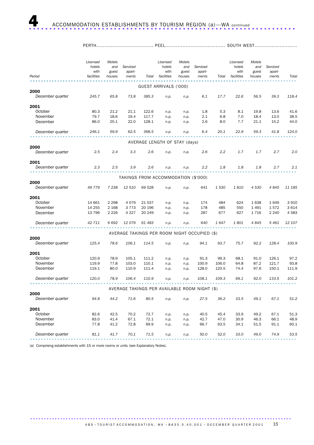PERTH.................................... PEEL...................................... SOUTH WEST...........................

| Period           | with<br>facilities | and<br>guest<br>houses | Serviced<br>apart-<br>ments | Total  | hotels<br>with<br>facilities        | and<br>guest<br>houses | Serviced<br>apart-<br>ments                   | Total   | hotels<br>with<br>facilities | and<br>guest<br>houses | Serviced<br>apart-<br>ments | Total   |
|------------------|--------------------|------------------------|-----------------------------|--------|-------------------------------------|------------------------|-----------------------------------------------|---------|------------------------------|------------------------|-----------------------------|---------|
|                  |                    |                        |                             |        |                                     |                        |                                               |         |                              |                        |                             |         |
| 2000             |                    |                        |                             |        | GUEST ARRIVALS ('000)               |                        |                                               |         |                              |                        |                             |         |
| December quarter | 245.7              | 65.8                   | 73.8                        | 385.3  | n.p.                                | n.p.                   | 6.1                                           | 17.7    | 22.6                         | 56.5                   | 39.3                        | 118.4   |
| 2001             |                    |                        |                             |        |                                     |                        |                                               |         |                              |                        |                             |         |
| October          | 80.3               | 21.2                   | 21.1                        | 122.6  | n.p.                                | n.p.                   | 1.8                                           | 5.3     | 8.1                          | 19.8                   | 13.6                        | 41.6    |
| November         | 79.7               | 18.6                   | 19.4                        | 117.7  | n.p.                                | n.p.                   | 2.1                                           | 6.8     | 7.0                          | 18.4                   | 13.0                        | 38.5    |
| December         | 86.0               | 20.1                   | 22.0                        | 128.1  | n.p.                                | n.p.                   | 2.6                                           | 8.0     | 7.7                          | 21.1                   | 15.2                        | 44.0    |
| December quarter | 246.1              | 59.9                   | 62.5                        | 368.5  | n.p.                                | n.p.                   | 6.4                                           | 20.1    | 22.9                         | 59.3                   | 41.8                        | 124.0   |
|                  |                    |                        |                             |        | AVERAGE LENGTH OF STAY (days)       |                        |                                               |         |                              |                        |                             |         |
| 2000             |                    |                        |                             |        |                                     |                        |                                               |         |                              |                        |                             |         |
| December quarter | 2.5                | 2.4                    | 3.3                         | 2.6    | n.p.                                | n.p.                   | 2.6                                           | 2.2     | 1.7                          | 1.7                    | 2.7                         | 2.0     |
| 2001             |                    |                        |                             |        |                                     |                        |                                               |         |                              |                        |                             |         |
| December quarter | 2.3                | 2.5                    | 3.9                         | 2.6    | n.p.                                | n.p.                   | 2.2                                           | 1.8     | 1.8                          | 1.8                    | 2.7                         | 2.1     |
|                  |                    |                        |                             |        | TAKINGS FROM ACCOMMODATION (\$'000) |                        |                                               |         |                              |                        |                             |         |
| 2000             |                    |                        |                             |        |                                     |                        |                                               |         |                              |                        |                             |         |
| December quarter | 49 779             | 7 2 3 8                | 12 510                      | 69 528 | n.p.                                | n.p.                   | 641                                           | 1 5 3 0 | 1810                         | 4 5 3 0                | 4845                        | 11 185  |
| 2001             |                    |                        |                             |        |                                     |                        |                                               |         |                              |                        |                             |         |
| October          | 14 661             | 2 2 9 8                | 4079                        | 21 037 | n.p.                                | n.p.                   | 174                                           | 484     | 624                          | 1638                   | 1649                        | 3910    |
| November         | 14 255             | 2 1 6 8                | 3 7 7 3                     | 20 196 | n.p.                                | n.p.                   | 178                                           | 485     | 550                          | 1491                   | 1572                        | 3 6 1 4 |
| December         | 13 796             | 2 2 2 6                | 4 2 2 7                     | 20 249 | n.p.                                | n.p.                   | 287                                           | 677     | 627                          | 1716                   | 2 2 4 0                     | 4 5 8 3 |
| December quarter | 42 711             | 6692                   | 12079                       | 61 483 | n.p.                                | n.p.                   | 640                                           | 1647    | 1801                         | 4845                   | 5 4 6 1                     | 12 107  |
|                  |                    |                        |                             |        |                                     |                        | AVERAGE TAKINGS PER ROOM NIGHT OCCUPIED (\$)  |         |                              |                        |                             |         |
| 2000             |                    |                        |                             |        |                                     |                        |                                               |         |                              |                        |                             |         |
| December quarter | 125.4              | 78.6                   | 106.1                       | 114.5  | n.p.                                | n.p.                   | 94.1                                          | 93.7    | 75.7                         | 92.2                   | 128.4                       | 100.9   |
| 2001             |                    |                        |                             |        |                                     |                        |                                               |         |                              |                        |                             |         |
| October          | 120.9              | 78.9                   | 105.1                       | 111.2  | n.p.                                | n.p.                   | 91.3                                          | 99.3    | 68.1                         | 91.0                   | 126.1                       | 97.2    |
| November         | 119.9              | 77.8                   | 103.0                       | 110.1  | n.p.                                | n.p.                   | 100.9                                         | 106.0   | 64.8                         | 87.2                   | 121.7                       | 93.8    |
| December         | 119.1              | 80.0                   | 110.9                       | 111.4  | n.p.                                | n.p.                   | 128.0                                         | 120.5   | 74.4                         | 97.6                   | 150.1                       | 111.9   |
| December quarter | 120.0              | 78.9                   | 106.4                       | 110.9  | n.p.                                | n.p.                   | 108.1                                         | 109.3   | 69.1                         | 92.0                   | 133.5                       | 101.2   |
|                  |                    |                        |                             |        |                                     |                        | AVERAGE TAKINGS PER AVAILABLE ROOM NIGHT (\$) |         |                              |                        |                             |         |
| 2000             |                    |                        |                             |        |                                     |                        |                                               |         |                              |                        |                             |         |
| December quarter | 94.8               | 44.2                   | 71.6                        | 80.5   | n.p.                                | n.p.                   | 27.5                                          | 36.2    | 33.5                         | 49.1                   | 67.1                        | 51.2    |
| 2001             |                    |                        |                             |        |                                     |                        |                                               |         |                              |                        |                             |         |
| October          | 82.6               | 42.5                   | 70.2                        | 72.7   | n.p.                                | n.p.                   | 40.5                                          | 45.4    | 33.9                         | 49.2                   | 67.1                        | 51.3    |
| November         | 83.0               | 41.4                   | 67.1                        | 72.1   | n.p.                                | n.p.                   | 42.7                                          | 47.0    | 30.9                         | 46.3                   | 66.1                        | 48.9    |
| December         | 77.8               | 41.2                   | 72.8                        | 69.9   | n.p.                                | n.p.                   | 66.7                                          | 63.5    | 34.1                         | 51.5                   | 91.1                        | 60.1    |
| December quarter | 81.1               | 41.7                   | 70.1                        | 71.5   | n.p.                                | n.p.                   | 50.0                                          | 52.0    | 33.0                         | 49.0                   | 74.9                        | 53.5    |

(a) Comprising establishments with 15 or more rooms or units (see Explanatory Notes).

ABS  $\cdot$  TOURIST ACCOMMODATION, WA  $\cdot$  8635.5.40.001  $\cdot$  DECEMBER QUARTER 2001 15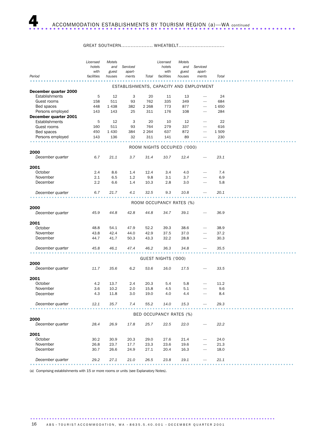#### GREAT SOUTHERN...................... WHEATBELT..................................

|                       | Licensed   | Motels  |          |         | Licensed                    | Motels |                                         |       |  |
|-----------------------|------------|---------|----------|---------|-----------------------------|--------|-----------------------------------------|-------|--|
|                       | hotels     | and     | Serviced |         | hotels                      | and    | Serviced                                |       |  |
|                       | with       | guest   | apart-   |         | with                        | guest  | apart-                                  |       |  |
| Period                | facilities | houses  | ments    | Total   | facilities                  | houses | ments                                   | Total |  |
|                       |            |         |          |         |                             |        | ESTABLISHMENTS, CAPACITY AND EMPLOYMENT |       |  |
| December quarter 2000 |            |         |          |         |                             |        |                                         |       |  |
| Establishments        | 5          | 12      | 3        | 20      | 11                          | 13     |                                         | 24    |  |
| Guest rooms           | 158        | 511     | 93       | 762     | 335                         | 349    |                                         | 684   |  |
| Bed spaces            | 448        | 1438    | 382      | 2 2 6 8 | 773                         | 877    |                                         | 1650  |  |
| Persons employed      | 143        | 143     | 25       | 311     | 176                         | 108    |                                         | 284   |  |
| December quarter 2001 |            |         |          |         |                             |        |                                         |       |  |
| Establishments        | 5          | 12      | 3        | 20      | 10                          | 12     |                                         | 22    |  |
| Guest rooms           | 160        | 511     | 93       | 764     | 279                         | 337    |                                         | 616   |  |
| Bed spaces            | 450        | 1 4 3 0 | 384      | 2 2 6 4 | 637                         | 872    |                                         | 1509  |  |
| Persons employed      | 143        | 136     | 32       | 311     | 141                         | 89     |                                         | 230   |  |
|                       |            |         |          |         |                             |        |                                         |       |  |
|                       |            |         |          |         | ROOM NIGHTS OCCUPIED ('000) |        |                                         |       |  |
| 2000                  |            |         |          |         |                             |        |                                         |       |  |
| December quarter      | 6.7        | 21.1    | 3.7      | 31.4    | 10.7                        | 12.4   |                                         | 23.1  |  |
|                       |            |         |          |         |                             |        |                                         |       |  |
| 2001<br>October       | 2.4        | 8.6     | 1.4      | 12.4    | 3.4                         | 4.0    |                                         | 7.4   |  |
| November              | 2.1        | 6.5     | 1.2      | 9.8     | 3.1                         | 3.7    |                                         | 6.9   |  |
| December              | 2.2        | 6.6     | 1.4      | 10.3    | 2.8                         | 3.0    |                                         | 5.8   |  |
|                       |            |         |          |         |                             |        |                                         |       |  |
| December quarter      | 6.7        | 21.7    | 4.1      | 32.5    | 9.3                         | 10.8   |                                         | 20.1  |  |
|                       |            |         |          |         |                             |        |                                         |       |  |
|                       |            |         |          |         | ROOM OCCUPANCY RATES (%)    |        |                                         |       |  |
| 2000                  |            |         |          |         |                             |        |                                         |       |  |
| December quarter      | 45.9       | 44.8    | 42.8     | 44.8    | 34.7                        | 39.1   |                                         | 36.9  |  |
|                       |            |         |          |         |                             |        |                                         |       |  |
| 2001                  |            |         |          |         |                             |        |                                         |       |  |
| October               | 48.8       | 54.1    | 47.9     | 52.2    | 39.3                        | 38.6   |                                         | 38.9  |  |
| November              | 43.8       | 42.4    | 44.0     | 42.9    | 37.5                        | 37.0   |                                         | 37.2  |  |
| December              | 44.7       | 41.7    | 50.3     | 43.3    | 32.2                        | 28.8   |                                         | 30.3  |  |
| December quarter      | 45.8       | 46.1    | 47.4     | 46.2    | 36.3                        | 34.8   |                                         | 35.5  |  |
|                       |            |         |          |         |                             |        |                                         |       |  |
|                       |            |         |          |         | GUEST NIGHTS ('000)         |        |                                         |       |  |
| 2000                  |            |         |          |         |                             |        |                                         |       |  |
| December quarter      | 11.7       | 35.6    | 6.2      | 53.6    | 16.0                        | 17.5   |                                         | 33.5  |  |
|                       |            |         |          |         |                             |        |                                         |       |  |
| 2001                  |            |         |          |         |                             |        |                                         |       |  |
| October               | 4.2        | 13.7    | 2.4      | 20.3    | 5.4                         | 5.8    |                                         | 11.2  |  |
| November              | 3.6        | 10.2    | 2.0      | 15.8    | 4.5                         | 5.1    |                                         | 9.6   |  |
| December              | 4.3        | 11.8    | 3.0      | 19.0    | 4.0                         | 4.4    |                                         | 8.4   |  |
|                       |            |         |          |         |                             |        |                                         |       |  |
| December quarter      | 12.1       | 35.7    | 7.4      | 55.2    | 14.0                        | 15.3   |                                         | 29.3  |  |
|                       |            |         |          |         | BED OCCUPANCY RATES (%)     |        |                                         |       |  |
| 2000                  |            |         |          |         |                             |        |                                         |       |  |
| December quarter      | 28.4       | 26.9    | 17.8     | 25.7    | 22.5                        | 22.0   |                                         | 22.2  |  |
|                       |            |         |          |         |                             |        |                                         |       |  |
| 2001                  |            |         |          |         |                             |        |                                         |       |  |
| October               | 30.2       | 30.9    | 20.3     | 29.0    | 27.6                        | 21.4   |                                         | 24.0  |  |
| November              | 26.8       | 23.7    | 17.7     | 23.3    | 23.6                        | 19.6   |                                         | 21.3  |  |
| December              | 30.7       | 26.6    | 24.9     | 27.1    | 20.4                        | 16.3   |                                         | 18.0  |  |
|                       |            |         |          |         |                             |        |                                         |       |  |
| December quarter      | 29.2       | 27.1    | 21.0     | 26.5    | 23.8                        | 19.1   |                                         | 21.1  |  |
|                       |            |         |          |         |                             |        |                                         |       |  |

(a) Comprising establishments with 15 or more rooms or units (see Explanatory Notes).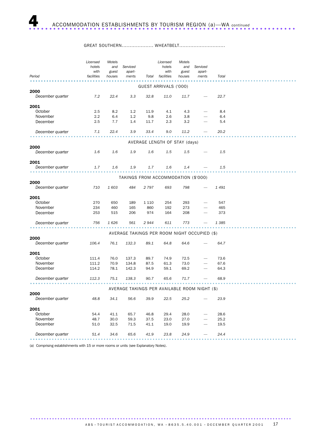#### GREAT SOUTHERN.................... WHEATBELT.............................

|                  | Licensed   | Motels |                                               |         | Licensed                      | Motels |                          |         |  |
|------------------|------------|--------|-----------------------------------------------|---------|-------------------------------|--------|--------------------------|---------|--|
|                  | hotels     | and    | Serviced                                      |         | hotels                        | and    | Serviced                 |         |  |
|                  | with       | guest  | apart-                                        |         | with                          | guest  | apart-                   |         |  |
| Period           | facilities | houses | ments                                         | Total   | facilities                    | houses | ments                    | Total   |  |
|                  |            |        |                                               |         |                               |        |                          |         |  |
| 2000             |            |        |                                               |         | GUEST ARRIVALS ('000)         |        |                          |         |  |
| December quarter | 7.2        | 22.4   | 3.3                                           | 32.8    | 11.0                          | 11.7   |                          | 22.7    |  |
|                  |            |        |                                               |         |                               |        |                          |         |  |
| 2001             |            |        |                                               |         |                               |        |                          |         |  |
| October          | 2.5        | 8.2    | 1.2                                           | 11.9    | 4.1                           | 4.3    |                          | 8.4     |  |
| November         | 2.2        | 6.4    | 1.2                                           | 9.8     | 2.6                           | 3.8    | $\overline{\phantom{0}}$ | 6.4     |  |
| December         | 2.5        | 7.7    | 1.4                                           | 11.7    | 2.3                           | 3.2    |                          | 5.4     |  |
|                  |            |        |                                               |         |                               |        |                          |         |  |
| December quarter | 7.1        | 22.4   | 3.9                                           | 33.4    | 9.0                           | 11.2   |                          | 20.2    |  |
|                  |            |        |                                               |         |                               |        |                          |         |  |
|                  |            |        |                                               |         | AVERAGE LENGTH OF STAY (days) |        |                          |         |  |
| 2000             |            |        |                                               |         |                               |        |                          |         |  |
| December quarter | 1.6        | 1.6    | 1.9                                           | 1.6     | 1.5                           | 1.5    |                          | 1.5     |  |
|                  |            |        |                                               |         |                               |        |                          |         |  |
| 2001             |            |        |                                               |         |                               |        |                          |         |  |
| December quarter | 1.7        | 1.6    | 1.9                                           | 1.7     | 1.6                           | 1.4    |                          | 1.5     |  |
|                  |            |        |                                               |         |                               |        |                          |         |  |
|                  |            |        | TAKINGS FROM ACCOMMODATION (\$'000)           |         |                               |        |                          |         |  |
| 2000             |            |        |                                               |         |                               |        |                          |         |  |
| December quarter | 710        | 1603   | 484                                           | 2797    | 693                           | 798    |                          | 1 4 9 1 |  |
|                  |            |        |                                               |         |                               |        |                          |         |  |
| 2001             |            |        |                                               |         |                               |        |                          |         |  |
| October          | 270        | 650    | 189                                           | 1 1 1 0 | 254                           | 293    |                          | 547     |  |
| November         | 234        | 460    | 165                                           | 860     | 192                           | 273    |                          | 465     |  |
| December         | 253        | 515    | 206                                           | 974     | 164                           | 208    |                          | 373     |  |
| December quarter | 756        | 1626   | 561                                           | 2 944   | 611                           | 773    |                          | 1 3 8 5 |  |
|                  |            |        |                                               |         |                               |        |                          |         |  |
|                  |            |        | AVERAGE TAKINGS PER ROOM NIGHT OCCUPIED (\$)  |         |                               |        |                          |         |  |
| 2000             |            |        |                                               |         |                               |        |                          |         |  |
| December quarter | 106.4      | 76.1   | 132.3                                         | 89.1    | 64.8                          | 64.6   |                          | 64.7    |  |
|                  |            |        |                                               |         |                               |        |                          |         |  |
| 2001             |            |        |                                               |         |                               |        |                          |         |  |
| October          | 111.4      | 76.0   | 137.3                                         | 89.7    | 74.9                          | 72.5   |                          | 73.6    |  |
| November         | 111.2      | 70.9   | 134.8                                         | 87.5    | 61.3                          | 73.0   |                          | 67.6    |  |
| December         | 114.2      | 78.1   | 142.3                                         | 94.9    | 59.1                          | 69.2   |                          | 64.3    |  |
|                  |            |        |                                               |         |                               |        |                          |         |  |
| December quarter | 112.3      | 75.1   | 138.3                                         | 90.7    | 65.6                          | 71.7   |                          | 68.9    |  |
|                  |            |        |                                               |         |                               |        |                          |         |  |
|                  |            |        | AVERAGE TAKINGS PER AVAILABLE ROOM NIGHT (\$) |         |                               |        |                          |         |  |
| 2000             |            |        |                                               |         |                               |        |                          |         |  |
| December quarter | 48.8       | 34.1   | 56.6                                          | 39.9    | 22.5                          | 25.2   |                          | 23.9    |  |
|                  |            |        |                                               |         |                               |        |                          |         |  |
| 2001             |            |        |                                               |         |                               |        |                          |         |  |
| October          | 54.4       | 41.1   | 65.7                                          | 46.8    | 29.4                          | 28.0   |                          | 28.6    |  |
| November         | 48.7       | 30.0   | 59.3                                          | 37.5    | 23.0                          | 27.0   |                          | 25.2    |  |
| December         | 51.0       | 32.5   | 71.5                                          | 41.1    | 19.0                          | 19.9   |                          | 19.5    |  |
|                  |            |        |                                               |         |                               |        |                          |         |  |
| December quarter |            |        |                                               |         |                               |        |                          | 24.4    |  |

(a) Comprising establishments with 15 or more rooms or units (see Explanatory Notes).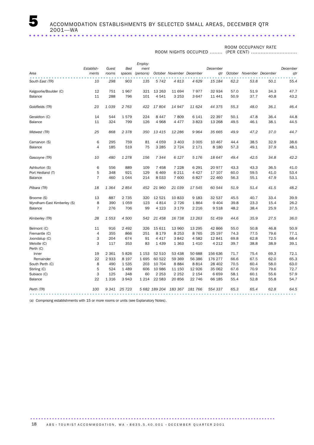ROOM NIGHTS OCCUPIED ........

ROOM OCCUPANCY RATE (PER CENT) .............................

|                            | Establish-     | Guest   | <b>Bed</b> | Employ-<br>ment |               |                           |         | December |      |                           |      | December |
|----------------------------|----------------|---------|------------|-----------------|---------------|---------------------------|---------|----------|------|---------------------------|------|----------|
| Area                       | ments          | rooms   | spaces     | (persons)       |               | October November December |         | atr      |      | October November December |      | qtr      |
| South East (TR)            | 10             | 298     | 903        | 135             | 5742          | 4813                      | 4 6 29  | 15 184   | 62.2 | 53.8                      | 50.1 | 55.4     |
| Kalgoorlie/Boulder (C)     | 12             | 751     | 1967       | 321             | 13 26 3       | 11 694                    | 7977    | 32 934   | 57.0 | 51.9                      | 34.3 | 47.7     |
| Balance                    | 11             | 288     | 796        | 101             | 4541          | 3 2 5 3                   | 3647    | 11 4 4 1 | 50.9 | 37.7                      | 40.8 | 43.2     |
| Goldfields (TR)            | 23             | 1 0 3 9 | 2 7 6 3    | 422             | 17804         | 14 947                    | 11 624  | 44 375   | 55.3 | 48.0                      | 36.1 | 46.4     |
| Geraldton (C)              | 14             | 544     | 1579       | 224             | 8 4 4 7       | 7809                      | 6 1 4 1 | 22 397   | 50.1 | 47.8                      | 36.4 | 44.8     |
| Balance                    | 11             | 324     | 799        | 126             | 4 9 6 8       | 4 4 7 7                   | 3823    | 13 2 68  | 49.5 | 46.1                      | 38.1 | 44.5     |
| Midwest (TR)               | 25             | 868     | 2378       | 350             | 13 415        | 12 286                    | 9964    | 35 665   | 49.9 | 47.2                      | 37.0 | 44.7     |
| Carnarvon (S)              | 6              | 295     | 759        | 81              | 4 0 5 9       | 3 4 0 3                   | 3 0 0 5 | 10 467   | 44.4 | 38.5                      | 32.9 | 38.6     |
| Balance                    | 4              | 185     | 519        | 75              | 3 2 8 5       | 2 7 2 4                   | 2 1 7 1 | 8 1 8 0  | 57.3 | 49.1                      | 37.9 | 48.1     |
| Gascoyne (TR)              | 10             | 480     | 1 2 7 8    | 156             | 7 3 4 4       | 6 1 2 7                   | 5 1 7 6 | 18 647   | 49.4 | 42.5                      | 34.8 | 42.2     |
| Ashburton (S)              | 6              | 556     | 889        | 109             | 7 4 5 8       | 7 2 2 8                   | 6 2 9 1 | 20 977   | 43.3 | 43.3                      | 36.5 | 41.0     |
| Port Hedland (T)           | 5              | 348     | 921        | 129             | 6 4 6 9       | 6 2 1 1                   | 4 4 2 7 | 17 107   | 60.0 | 59.5                      | 41.0 | 53.4     |
| Balance                    | $\overline{7}$ | 460     | 1044       | 214             | 8 0 3 3       | 7 600                     | 6827    | 22 460   | 56.3 | 55.1                      | 47.9 | 53.1     |
| Pilbara (TR)               | 18             | 1 3 6 4 | 2854       | 452             | 21 960        | 21 039                    | 17 545  | 60 544   | 51.9 | 51.4                      | 41.5 | 48.2     |
| Broome (S)                 | 13             | 887     | 2 7 3 5    | 320             | 12 5 21       | 10833                     | 9 1 8 3 | 32 537   | 45.5 | 40.7                      | 33.4 | 39.9     |
| Wyndham-East Kimberley (S) | 8              | 390     | 1 0 5 9    | 123             | 4814          | 2 7 2 6                   | 1864    | 9 4 0 4  | 39.8 | 23.3                      | 15.4 | 26.2     |
| Balance                    | $\overline{7}$ | 276     | 706        | 99              | 4 1 2 3       | 3 1 7 9                   | 2 2 1 6 | 9518     | 48.2 | 38.4                      | 25.9 | 37.5     |
| Kimberley (TR)             | 28             | 1 5 5 3 | 4 500      | 542             | 21 458        | 16 738                    | 13 263  | 51 459   | 44.6 | 35.9                      | 27.5 | 36.0     |
| Belmont (C)                | 11             | 916     | 2 4 9 2    | 326             | 15 611        | 13 960                    | 13 295  | 42 866   | 55.0 | 50.8                      | 46.8 | 50.9     |
| Fremantle (C)              | $\overline{4}$ | 355     | 866        | 251             | 8 1 7 9       | 8 2 5 3                   | 8765    | 25 197   | 74.3 | 77.5                      | 79.6 | 77.1     |
| Joondalup (C)              | 3              | 204     | 674        | 91              | 4 4 1 7       | 3842                      | 4582    | 12 841   | 69.8 | 62.8                      | 72.5 | 68.4     |
| Melville (C)<br>Perth (C)  | 3              | 117     | 353        | 83              | 1 4 3 9       | 1 3 6 3                   | 1410    | 4 2 1 2  | 39.7 | 38.8                      | 38.9 | 39.1     |
| Inner                      | 19             | 2 3 6 1 | 5826       | 1 1 5 3         | 52 510        | 53 438                    | 50 688  | 156 636  | 71.7 | 75.4                      | 69.3 | 72.1     |
| Remainder                  | 22             | 2933    | 8 1 9 7    | 1695            | 60 522        | 59 369                    | 56 386  | 176 277  | 66.6 | 67.5                      | 62.0 | 65.3     |
| South Perth (C)            | 8              | 490     | 1535       | 203             | 10 704        | 8884                      | 8814    | 28 402   | 70.5 | 60.4                      | 58.0 | 63.0     |
| Stirling (C)               | 5              | 524     | 1 4 8 9    | 606             | 10 986        | 11 150                    | 12 9 26 | 35 062   | 67.6 | 70.9                      | 79.6 | 72.7     |
| Subiaco (C)                | 3              | 125     | 348        | 60              | 2 2 5 3       | 2 2 5 2                   | 2 1 5 4 | 6659     | 58.1 | 60.1                      | 55.6 | 57.9     |
| Balance                    | 22             | 1 3 1 6 | 3943       | 1 2 1 4         | 22 5 83       | 20856                     | 22 746  | 66 185   | 55.4 | 52.8                      | 55.8 | 54.7     |
| Perth (TR)                 | 100            | 9 3 4 1 | 25 7 23    |                 | 5 682 189 204 | 183 367                   | 181 766 | 554 337  | 65.3 | 65.4                      | 62.8 | 64.5     |

(a) Comprising establishments with 15 or more rooms or units (see Explanatory Notes).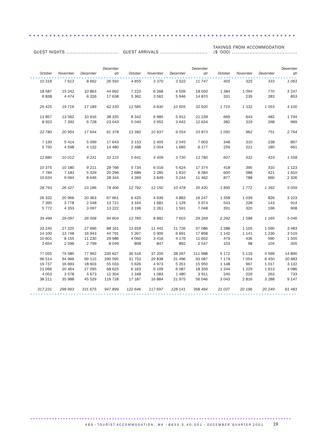GUEST ARRIVALS .............................. TAKINGS FROM ACCOMMODATION (\$ '000) .........................................

GUEST NIGHTS .................................

*October November December December qtr October November December December qtr October November December December qtr* 0ctober November December qtr 0ctober November December qtr 0ctober November qtr 0ctober November qtr<br>10 318 7 613 8 662 26 593 4 855 3 370 3 522 11 747 405 325 333 1 063 18 587 15 242 10 863 44 692 7 223 6 268 4 559 18 050 1 384 1 094 770 3 247 6 838 4 474 6 326 17 638 5 362 3 562 5 946 14 870 331 239 283 853 *25 425 19 716 17 189 62 330 12 585 9 830 10 505 32 920 1 715 1 332 1 053 4 100* 13 857 13 562 10 916 38 335 8 342 6 985 5 912 21 239 669 643 482 1 794 8 923 7 392 6 728 23 043 5 040 3 952 3 642 12 634 382 319 268 969 *22 780 20 954 17 644 61 378 13 382 10 937 9 554 33 873 1 050 962 751 2 764* 7 130 5 414 5 099 17 643 3 153 2 405 2 045 7 603 348 310 238 897 5 750 4 598 4 132 14 480 2 488 2 004 1 685 6 177 259 221 180 661 *12 880 10 012 9 231 32 123 5 641 4 409 3 730 13 780 607 532 419 1 558* 10 375 10 180 9 211 29 766 5 734 6 016 5 624 17 374 418 395 310 1 123 7 784 7 183 5 329 20 296 2 689 2 285 1 610 6 584 600 588 421 1 610 10 634 9 064 8 646 28 344 4 369 3 849 3 244 11 462 877 788 660 2 326 *28 793 26 427 23 186 78 406 12 792 12 150 10 478 35 420 1 895 1 772 1 392 5 059* 26 332 20 966 20 363 67 661 6 425 4 939 4 883 16 247 1 358 1 039 826 3 223 7 395 3 778 2 548 13 721 3 164 1 681 1 129 5 974 543 228 143 914 5 772 4 353 3 097 13 222 3 196 2 261 1 591 7 048 391 320 196 908 *39 499 29 097 26 008 94 604 12 785 8 881 7 603 29 269 2 292 1 588 1 165 5 046* 33 240 27 225 27 696 88 161 13 918 11 442 11 726 37 086 1 288 1 105 1 090 3 483 14 100 13 748 16 943 44 791 5 267 5 900 6 691 17 858 1 142 1 141 1 236 3 519 10 601 8 155 11 230 29 986 4 060 3 416 4 176 11 652 479 436 590 1 505 2 654 2 596 2 799 8 049 808 847 892 2 547 103 98 104 305 77 055 75 580 77 992 230 627 36 516 37 205 38 267 111 988 5 172 5 119 4 599 14 890 96 514 94 966 99 115 290 595 31 753 29 838 31 496 93 087 7 179 7 054 6 450 20 683 19 737 16 693 18 603 55 033 5 626 4 973 5 351 15 950 1 148 967 1 017 3 132 21 066 20 464 27 095 68 625 6 163 6 109 6 087 18 359 1 244 1 229 1 613 4 086 4 053 3 578 4 673 12 304 1 348 1 083 1 480 3 911 240 229 263 733 38 211 35 988 45 529 119 728 17 187 16 884 21 975 56 046 3 043 2 816 3 288 9 147 *317 231 298 993 331 675 947 899 122 646 117 697 128 141 368 484 21 037 20 196 20 249 61 483* .................................................................................................. .

..................................................................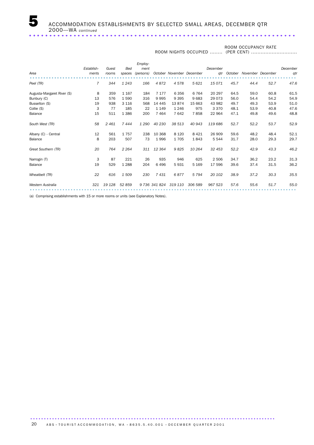#### ROOM NIGHTS OCCUPIED ........

ROOM OCCUPANCY RATE (PER CENT) .............................

| Area                                                                                | Establish-<br>ments      | Guest<br>rooms                 | <b>Bed</b><br>spaces                         | Employ-<br>ment<br>(persons)   |                                                  |                                                | October November December                | December<br>atr                                   |                                      | October November December            |                                      | December<br>qtr                      |
|-------------------------------------------------------------------------------------|--------------------------|--------------------------------|----------------------------------------------|--------------------------------|--------------------------------------------------|------------------------------------------------|------------------------------------------|---------------------------------------------------|--------------------------------------|--------------------------------------|--------------------------------------|--------------------------------------|
| Peel (TR)                                                                           | $\overline{7}$           | 344                            | 1 2 4 3                                      | 166                            | 4872                                             | 4578                                           | 5 6 21                                   | 15 0 71                                           | 45.7                                 | 44.4                                 | 52.7                                 | 47.6                                 |
| Augusta-Margaret River (S)<br>Bunbury (C)<br>Busselton (S)<br>Collie (S)<br>Balance | 8<br>13<br>19<br>3<br>15 | 359<br>576<br>938<br>77<br>511 | 1 1 6 7<br>1590<br>3 1 1 6<br>185<br>1 3 8 6 | 184<br>316<br>568<br>22<br>200 | 7 1 7 7<br>9995<br>14 4 45<br>1 1 4 9<br>7 4 6 4 | 6 3 5 6<br>9 3 9 5<br>13874<br>1 2 4 6<br>7642 | 6 7 6 4<br>9683<br>15 663<br>975<br>7858 | 20 29 7<br>29 0 73<br>43 982<br>3 3 7 0<br>22 964 | 64.5<br>56.0<br>49.7<br>48.1<br>47.1 | 59.0<br>54.4<br>49.3<br>53.9<br>49.8 | 60.8<br>54.2<br>53.9<br>40.8<br>49.6 | 61.5<br>54.9<br>51.0<br>47.6<br>48.8 |
| South West (TR)                                                                     | 58                       | 2461                           | 7444                                         | 1 2 9 0                        | 40 230                                           | 38 513                                         | 40 943                                   | 119 686                                           | 52.7                                 | 52.2                                 | 53.7                                 | 52.9                                 |
| Albany (C) - Central<br>Balance                                                     | 12<br>8                  | 561<br>203                     | 1757<br>507                                  | 238<br>73                      | 10 368<br>1996                                   | 8 1 2 0<br>1705                                | 8 4 2 1<br>1843                          | 26 909<br>5 5 4 4                                 | 59.6<br>31.7                         | 48.2<br>28.0                         | 48.4<br>29.3                         | 52.1<br>29.7                         |
| Great Southern (TR)                                                                 | 20                       | 764                            | 2 2 6 4                                      | 311                            | 12 3 64                                          | 9825                                           | 10 264                                   | 32 453                                            | 52.2                                 | 42.9                                 | 43.3                                 | 46.2                                 |
| Narrogin (T)<br>Balance                                                             | 3<br>19                  | 87<br>529                      | 221<br>1 2 8 8                               | 26<br>204                      | 935<br>6 4 9 6                                   | 946<br>5931                                    | 625<br>5 1 6 9                           | 2 5 0 6<br>17 596                                 | 34.7<br>39.6                         | 36.2<br>37.4                         | 23.2<br>31.5                         | 31.3<br>36.2                         |
| Wheatbelt (TR)                                                                      | 22                       | 616                            | 1509                                         | 230                            | 7431                                             | 6877                                           | 5 7 9 4                                  | 20 10 2                                           | 38.9                                 | 37.2                                 | 30.3                                 | 35.5                                 |
| Western Australia                                                                   | 321                      | 19 128                         | 52 859                                       |                                | 9 736 341 824                                    | 319 110                                        | 306 589                                  | 967 523                                           | 57.6                                 | 55.6                                 | 51.7                                 | 55.0                                 |

(a) Comprising establishments with 15 or more rooms or units (see Explanatory Notes).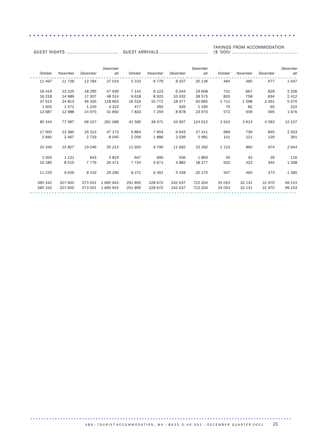#### TAKINGS FROM ACCOMMODATION

GUEST ARRIVALS .............................. (\$ '000) .........................................

GUEST NIGHTS .................................

|         |          |          | December  |         |          |          | December |         |          |          | December |
|---------|----------|----------|-----------|---------|----------|----------|----------|---------|----------|----------|----------|
| October | November | December | qtr       | October | November | December | qtr      | October | November | December | qtr      |
| 11 497  | 11738    | 13 784   | 37019     | 5 3 3 3 | 6776     | 8027     | 20 136   | 484     | 485      | 677      | 1647     |
| 16 419  | 13 2 25  | 18 295   | 47 939    | 7 1 4 1 | 6 1 2 3  | 6 3 4 4  | 19 608   | 731     | 667      | 829      | 2 2 2 6  |
| 16 218  | 14 989   | 17 307   | 48 514    | 9618    | 8925     | 10 0 32  | 28 575   | 820     | 758      | 834      | 2 4 1 2  |
| 37 515  | 34 813   | 46 335   | 118 663   | 16 516  | 15 7 7 2 | 18 377   | 50 665   | 1 7 1 1 | 1598     | 2 2 6 1  | 5570     |
| 1505    | 1572     | 1 2 4 5  | 4 3 2 2   | 477     | 392      | 326      | 1 1 9 5  | 75      | 82       | 65       | 222      |
| 13 687  | 12 988   | 14 975   | 41 650    | 7833    | 7 2 5 9  | 8878     | 23 970   | 572     | 509      | 595      | 1676     |
| 85 344  | 77 587   | 98 157   | 261 088   | 41 585  | 38 471   | 43 957   | 124 013  | 3910    | 3614     | 4 5 8 3  | 12 107   |
| 17 500  | 13 360   | 16 313   | 47 173    | 9864    | 7 9 0 4  | 9643     | 27 411   | 969     | 739      | 845      | 2 5 5 3  |
| 2840    | 2 4 6 7  | 2 7 3 3  | 8 0 4 0   | 2056    | 1886     | 2 0 3 9  | 5981     | 141     | 121      | 129      | 391      |
| 20 340  | 15 827   | 19 046   | 55 213    | 11 9 20 | 9 7 9 0  | 11 682   | 33 392   | 1 1 1 0 | 860      | 974      | 2944     |
| 1055    | 1 1 2 1  | 643      | 2819      | 647     | 690      | 556      | 1893     | 45      | 42       | 29       | 116      |
| 10 180  | 8 5 1 5  | 7 7 7 6  | 26 471    | 7 7 2 4 | 5671     | 4882     | 18 277   | 502     | 423      | 344      | 1 2 6 8  |
| 11 235  | 9636     | 8419     | 29 29 0   | 8371    | 6 3 6 1  | 5438     | 20 170   | 547     | 465      | 373      | 1385     |
| 585 342 | 527 600  | 573 001  | 1 685 943 | 251895  | 228 672  | 242 637  | 723 204  | 35 053  | 32 131   | 31970    | 99 153   |
| 585 342 | 527 600  | 573 001  | 1685943   | 251895  | 228 672  | 242 637  | 723 204  | 35 053  | 32 131   | 31970    | 99 153   |
|         |          |          |           |         |          |          |          |         |          |          |          |

..................................................................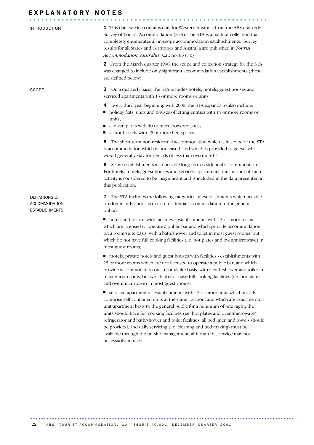# EXPLANATORY NOTES

| <b>INTRODUCTION</b>                                      | 1 This data service contains data for Western Australia from the ABS quarterly<br>Survey of Tourist Accommodation (STA). The STA is a mailout collection that<br>completely enumerates all in-scope accommodation establishments. Survey<br>results for all States and Territories and Australia are published in Tourist<br>Accommodation, Australia (Cat. no. 8635.0)                                                                                                                                                                                                     |
|----------------------------------------------------------|-----------------------------------------------------------------------------------------------------------------------------------------------------------------------------------------------------------------------------------------------------------------------------------------------------------------------------------------------------------------------------------------------------------------------------------------------------------------------------------------------------------------------------------------------------------------------------|
|                                                          | 2 From the March quarter 1998, the scope and collection strategy for the STA<br>was changed to include only significant accommodation establishments (these<br>are defined below).                                                                                                                                                                                                                                                                                                                                                                                          |
| <b>SCOPE</b>                                             | З<br>On a quarterly basis, the STA includes hotels, motels, guest houses and<br>serviced apartments with 15 or more rooms or units.                                                                                                                                                                                                                                                                                                                                                                                                                                         |
|                                                          | Every third year beginning with 2000, the STA expands to also include:<br>4<br>holiday flats, units and houses of letting entities with 15 or more rooms or<br>units:<br>caravan parks with 40 or more powered sites;<br>ш<br>visitor hostels with 25 or more bed spaces.                                                                                                                                                                                                                                                                                                   |
|                                                          | The short-term non-residential accommodation which is in scope of the STA<br>5<br>is accommodation which is not leased, and which is provided to guests who<br>would generally stay for periods of less than two months.                                                                                                                                                                                                                                                                                                                                                    |
|                                                          | Some establishments also provide long-term residential accommodation.<br>6<br>For hotels, motels, guest houses and serviced apartments, the amount of such<br>activity is considered to be insignificant and is included in the data presented in<br>this publication.                                                                                                                                                                                                                                                                                                      |
| DEFINITIONS OF<br>ACCOMMODATION<br><b>ESTABLISHMENTS</b> | The STA includes the following categories of establishments which provide<br>7<br>predominantly short-term non-residential accommodation to the general<br>public:                                                                                                                                                                                                                                                                                                                                                                                                          |
|                                                          | hotels and resorts with facilities - establishments with 15 or more rooms<br>which are licensed to operate a public bar and which provide accommodation<br>on a room/suite basis, with a bath/shower and toilet in most guest rooms, but<br>which do not have full cooking facilities (i.e. hot plates and oven/microwave) in<br>most guest rooms;                                                                                                                                                                                                                          |
|                                                          | motels, private hotels and guest houses with facilities - establishments with<br>15 or more rooms which are not licensed to operate a public bar, and which<br>provide accommodation on a room/suite basis, with a bath/shower and toilet in<br>most guest rooms, but which do not have full cooking facilities (i.e. hot plates<br>and oven/microwave) in most guest rooms;                                                                                                                                                                                                |
|                                                          | ■ serviced apartments - establishments with 15 or more units which mostly<br>comprise self-contained units at the same location, and which are available on a<br>unit/apartment basis to the general public for a minimum of one night; the<br>units should have full cooking facilities (i.e. hot plates and oven/microwave),<br>refrigerator and bath/shower and toilet facilities; all bed linen and towels should<br>be provided, and daily servicing (i.e. cleaning and bed making) must be<br>available through the on-site management, although this service may not |

................................................................................................. ......................................................

necessarily be used.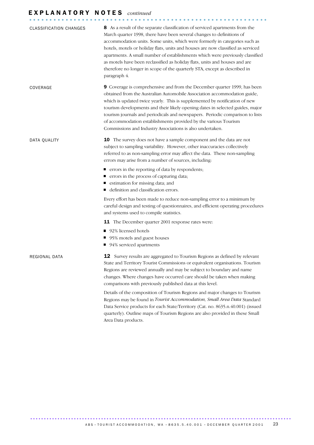# E X P L A N A T O R Y N O T E S *continued*

| <b>CLASSIFICATION CHANGES</b> | 8 As a result of the separate classification of serviced apartments from the<br>March quarter 1998, there have been several changes to definitions of<br>accommodation units. Some units, which were formerly in categories such as<br>hotels, motels or holiday flats, units and houses are now classified as serviced<br>apartments. A small number of establishments which were previously classified<br>as motels have been reclassified as holiday flats, units and houses and are<br>therefore no longer in scope of the quarterly STA, except as described in<br>paragraph 4. |
|-------------------------------|--------------------------------------------------------------------------------------------------------------------------------------------------------------------------------------------------------------------------------------------------------------------------------------------------------------------------------------------------------------------------------------------------------------------------------------------------------------------------------------------------------------------------------------------------------------------------------------|
| COVERAGE                      | 9 Coverage is comprehensive and from the December quarter 1999, has been<br>obtained from the Australian Automobile Association accommodation guide,<br>which is updated twice yearly. This is supplemented by notification of new<br>tourism developments and their likely opening dates in selected guides, major<br>tourism journals and periodicals and newspapers. Periodic comparison to lists<br>of accommodation establishments provided by the various Tourism<br>Commissions and Industry Associations is also undertaken.                                                 |
| DATA QUALITY                  | 10 The survey does not have a sample component and the data are not<br>subject to sampling variability. However, other inaccuracies collectively<br>referred to as non-sampling error may affect the data. These non-sampling<br>errors may arise from a number of sources, including:                                                                                                                                                                                                                                                                                               |
|                               | ■ errors in the reporting of data by respondents;<br>■ errors in the process of capturing data;<br>■ estimation for missing data; and<br>■ definition and classification errors.                                                                                                                                                                                                                                                                                                                                                                                                     |
|                               | Every effort has been made to reduce non-sampling error to a minimum by<br>careful design and testing of questionnaires, and efficient operating procedures<br>and systems used to compile statistics.                                                                                                                                                                                                                                                                                                                                                                               |
|                               | 11 The December quarter 2001 response rates were:                                                                                                                                                                                                                                                                                                                                                                                                                                                                                                                                    |
|                               | ■ 92% licensed hotels<br>■ 95% motels and guest houses<br>■ 94% serviced apartments                                                                                                                                                                                                                                                                                                                                                                                                                                                                                                  |
| REGIONAL DATA                 | <b>12</b> Survey results are aggregated to Tourism Regions as defined by relevant<br>State and Territory Tourist Commissions or equivalent organisations. Tourism<br>Regions are reviewed annually and may be subject to boundary and name<br>changes. Where changes have occurred care should be taken when making<br>comparisons with previously published data at this level.                                                                                                                                                                                                     |
|                               | Details of the composition of Tourism Regions and major changes to Tourism<br>Regions may be found in Tourist Accommodation, Small Area Data Standard<br>Data Service products for each State/Territory (Cat. no. 8635.n.40.001) (issued<br>quarterly). Outline maps of Tourism Regions are also provided in these Small<br>Area Data products.                                                                                                                                                                                                                                      |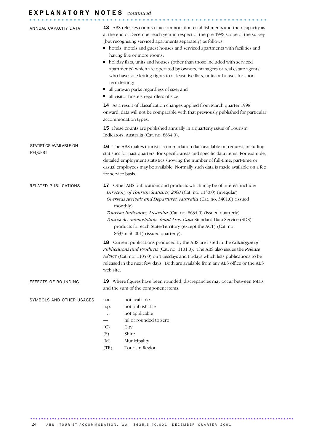# E X P L A N A T O R Y N O T E S *continued*

| ANNUAL CAPACITY DATA                      | <b>13</b> ABS releases counts of accommodation establishments and their capacity as<br>at the end of December each year in respect of the pre-1998 scope of the survey<br>(but recognising serviced apartments separately) as follows:<br>• hotels, motels and guest houses and serviced apartments with facilities and<br>having five or more rooms;<br>holiday flats, units and houses (other than those included with serviced<br>apartments) which are operated by owners, managers or real estate agents<br>who have sole letting rights to at least five flats, units or houses for short<br>term letting;<br>all caravan parks regardless of size; and<br>all visitor hostels regardless of size. |  |  |
|-------------------------------------------|----------------------------------------------------------------------------------------------------------------------------------------------------------------------------------------------------------------------------------------------------------------------------------------------------------------------------------------------------------------------------------------------------------------------------------------------------------------------------------------------------------------------------------------------------------------------------------------------------------------------------------------------------------------------------------------------------------|--|--|
|                                           | 14 As a result of classification changes applied from March quarter 1998<br>onward, data will not be comparable with that previously published for particular<br>accommodation types.                                                                                                                                                                                                                                                                                                                                                                                                                                                                                                                    |  |  |
|                                           | <b>15</b> These counts are published annually in a quarterly issue of Tourism<br>Indicators, Australia (Cat. no. 8634.0).                                                                                                                                                                                                                                                                                                                                                                                                                                                                                                                                                                                |  |  |
| STATISTICS AVAILABLE ON<br><b>REQUEST</b> | 16 The ABS makes tourist accommodation data available on request, including<br>statistics for past quarters, for specific areas and specific data items. For example,<br>detailed employment statistics showing the number of full-time, part-time or<br>casual employees may be available. Normally such data is made available on a fee<br>for service basis.                                                                                                                                                                                                                                                                                                                                          |  |  |
| RELATED PUBLICATIONS                      | Other ABS publications and products which may be of interest include:<br>17<br>Directory of Tourism Statistics, 2000 (Cat. no. 1130.0) (irregular)<br>Overseas Arrivals and Departures, Australia (Cat. no. 3401.0) (issued<br>monthly)<br>Tourism Indicators, Australia (Cat. no. 8634.0) (issued quarterly)<br>Tourist Accommodation, Small Area Data Standard Data Service (SDS)<br>products for each State/Territory (except the ACT) (Cat. no.<br>8635.n.40.001) (issued quarterly).                                                                                                                                                                                                                |  |  |
|                                           | Current publications produced by the ABS are listed in the Catalogue of<br>18<br>Publications and Products (Cat. no. 1101.0). The ABS also issues the Release<br>Advice (Cat. no. 1105.0) on Tuesdays and Fridays which lists publications to be<br>released in the next few days. Both are available from any ABS office or the ABS<br>web site.                                                                                                                                                                                                                                                                                                                                                        |  |  |
| EFFECTS OF ROUNDING                       | 19 Where figures have been rounded, discrepancies may occur between totals<br>and the sum of the component items.                                                                                                                                                                                                                                                                                                                                                                                                                                                                                                                                                                                        |  |  |
| SYMBOLS AND OTHER USAGES                  | not available<br>n.a.<br>not publishable<br>n.p.<br>not applicable<br>$\ddot{\phantom{0}}$<br>nil or rounded to zero<br>(C)<br>City<br>(S)<br>Shire<br>(M)<br>Municipality<br>Tourism Region<br>(TR)                                                                                                                                                                                                                                                                                                                                                                                                                                                                                                     |  |  |

................................................................................................. ......................................................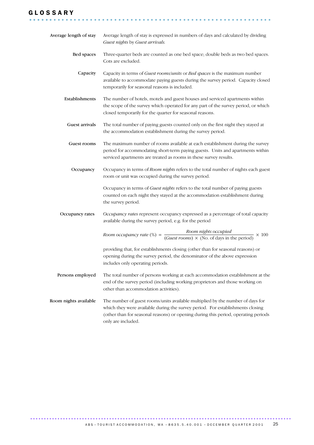# G L O S S A R Y

| Average length of stay | Average length of stay is expressed in numbers of days and calculated by dividing<br>Guest nights by Guest arrivals.                                                                                                                                                         |
|------------------------|------------------------------------------------------------------------------------------------------------------------------------------------------------------------------------------------------------------------------------------------------------------------------|
| Bed spaces             | Three-quarter beds are counted as one bed space; double beds as two bed spaces.<br>Cots are excluded.                                                                                                                                                                        |
| Capacity               | Capacity in terms of Guest rooms/units or Bed spaces is the maximum number<br>available to accommodate paying guests during the survey period. Capacity closed<br>temporarily for seasonal reasons is included.                                                              |
| Establishments         | The number of hotels, motels and guest houses and serviced apartments within<br>the scope of the survey which operated for any part of the survey period, or which<br>closed temporarily for the quarter for seasonal reasons.                                               |
| Guest arrivals         | The total number of paying guests counted only on the first night they stayed at<br>the accommodation establishment during the survey period.                                                                                                                                |
| Guest rooms            | The maximum number of rooms available at each establishment during the survey<br>period for accommodating short-term paying guests. Units and apartments within<br>serviced apartments are treated as rooms in these survey results.                                         |
| Occupancy              | Occupancy in terms of Room nights refers to the total number of nights each guest<br>room or unit was occupied during the survey period.                                                                                                                                     |
|                        | Occupancy in terms of Guest nights refers to the total number of paying guests<br>counted on each night they stayed at the accommodation establishment during<br>the survey period.                                                                                          |
| Occupancy rates        | Occupancy rates represent occupancy expressed as a percentage of total capacity<br>available during the survey period, e.g. for the period                                                                                                                                   |
|                        | Room occupancy rate (%) = $\frac{Room \text{ nights occupied}}{(Guest \text{ rooms}) \times (No. \text{ of days in the period})} \times 100$                                                                                                                                 |
|                        | providing that, for establishments closing (other than for seasonal reasons) or<br>opening during the survey period, the denominator of the above expression<br>includes only operating periods.                                                                             |
| Persons employed       | The total number of persons working at each accommodation establishment at the<br>end of the survey period (including working proprietors and those working on<br>other than accommodation activities).                                                                      |
| Room nights available  | The number of guest rooms/units available multiplied by the number of days for<br>which they were available during the survey period. For establishments closing<br>(other than for seasonal reasons) or opening during this period, operating periods<br>only are included. |

............................................................ ......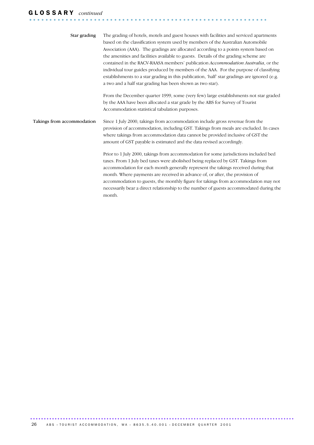# G L O S S A R Y *continued*

| Star grading               | The grading of hotels, motels and guest houses with facilities and serviced apartments<br>based on the classification system used by members of the Australian Automobile<br>Association (AAA). The gradings are allocated according to a points system based on<br>the amenities and facilities available to guests. Details of the grading scheme are<br>contained in the RACV-RAASA members' publication Accommodation Australia, or the<br>individual tour guides produced by members of the AAA. For the purpose of classifying<br>establishments to a star grading in this publication, 'half' star gradings are ignored (e.g.<br>a two and a half star grading has been shown as two star). |
|----------------------------|----------------------------------------------------------------------------------------------------------------------------------------------------------------------------------------------------------------------------------------------------------------------------------------------------------------------------------------------------------------------------------------------------------------------------------------------------------------------------------------------------------------------------------------------------------------------------------------------------------------------------------------------------------------------------------------------------|
|                            | From the December quarter 1999, some (very few) large establishments not star graded<br>by the AAA have been allocated a star grade by the ABS for Survey of Tourist<br>Accommodation statistical tabulation purposes.                                                                                                                                                                                                                                                                                                                                                                                                                                                                             |
| Takings from accommodation | Since 1 July 2000, takings from accommodation include gross revenue from the<br>provision of accommodation, including GST. Takings from meals are excluded. In cases<br>where takings from accommodation data cannot be provided inclusive of GST the<br>amount of GST payable is estimated and the data revised accordingly.                                                                                                                                                                                                                                                                                                                                                                      |
|                            | Prior to 1 July 2000, takings from accommodation for some jurisdictions included bed<br>taxes. From 1 July bed taxes were abolished being replaced by GST. Takings from<br>accommodation for each month generally represent the takings received during that<br>month. Where payments are received in advance of, or after, the provision of<br>accommodation to guests, the monthly figure for takings from accommodation may not<br>necessarily bear a direct relationship to the number of guests accommodated during the<br>month.                                                                                                                                                             |

........................................................... .

................................................................................................. ......................................................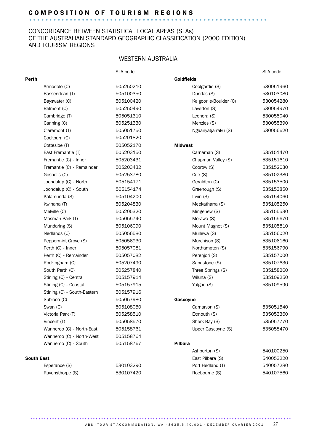# C O M P O S I T I O N O F T O U R I S M R E G I O N S ........................................................... .

### CONCORDANCE BETWEEN STATISTICAL LOCAL AREAS (SLAs) OF THE AUSTRALIAN STANDARD GEOGRAPHIC CLASSIFICATION (2000 EDITION) AND TOURISM REGIONS

## WESTERN AUSTRALIA

|       |                              | SLA code  |                        | SLA code  |
|-------|------------------------------|-----------|------------------------|-----------|
| Perth |                              |           | <b>Goldfields</b>      |           |
|       | Armadale (C)                 | 505250210 | Coolgardie (S)         | 530051960 |
|       | Bassendean (T)               | 505100350 | Dundas (S)             | 530103080 |
|       | Bayswater (C)                | 505100420 | Kalgoorlie/Boulder (C) | 530054280 |
|       | Belmont (C)                  | 505250490 | Laverton (S)           | 530054970 |
|       | Cambridge (T)                | 505051310 | Leonora (S)            | 530055040 |
|       | Canning (C)                  | 505251330 | Menzies (S)            | 530055390 |
|       | Claremont (T)                | 505051750 | Ngaanyatjarraku (S)    | 530056620 |
|       | Cockburn (C)                 | 505201820 |                        |           |
|       | Cottesloe (T)                | 505052170 | <b>Midwest</b>         |           |
|       | East Fremantle (T)           | 505203150 | Carnamah (S)           | 535151470 |
|       | Fremantle (C) - Inner        | 505203431 | Chapman Valley (S)     | 535151610 |
|       | Fremantle (C) - Remainder    | 505203432 | Coorow (S)             | 535152030 |
|       | Gosnells (C)                 | 505253780 | Cue(S)                 | 535102380 |
|       | Joondalup (C) - North        | 505154171 | Geraldton (C)          | 535153500 |
|       | Joondalup (C) - South        | 505154174 | Greenough (S)          | 535153850 |
|       | Kalamunda (S)                | 505104200 | Irwin (S)              | 535154060 |
|       | Kwinana (T)                  | 505204830 | Meekatharra (S)        | 535105250 |
|       | Melville (C)                 | 505205320 | Mingenew (S)           | 535155530 |
|       | Mosman Park (T)              | 505055740 | Morawa (S)             | 535155670 |
|       | Mundaring (S)                | 505106090 | Mount Magnet (S)       | 535105810 |
|       | Nedlands (C)                 | 505056580 | Mullewa (S)            | 535156020 |
|       | Peppermint Grove (S)         | 505056930 | Murchison (S)          | 535106160 |
|       | Perth (C) - Inner            | 505057081 | Northampton (S)        | 535156790 |
|       | Perth (C) - Remainder        | 505057082 | Perenjori (S)          | 535157000 |
|       | Rockingham (C)               | 505207490 | Sandstone (S)          | 535107630 |
|       | South Perth (C)              | 505257840 | Three Springs (S)      | 535158260 |
|       | Stirling (C) - Central       | 505157914 | Wiluna (S)             | 535109250 |
|       | Stirling (C) - Coastal       | 505157915 | Yalgoo (S)             | 535109590 |
|       | Stirling (C) - South-Eastern | 505157916 |                        |           |
|       | Subiaco (C)                  | 505057980 | Gascoyne               |           |
|       | Swan (C)                     | 505108050 | Carnarvon (S)          | 535051540 |
|       | Victoria Park (T)            | 505258510 | Exmouth (S)            | 535053360 |
|       | Vincent (T)                  | 505058570 | Shark Bay (S)          | 535057770 |
|       | Wanneroo (C) - North-East    | 505158761 | Upper Gascoyne (S)     | 535058470 |
|       | Wanneroo (C) - North-West    | 505158764 |                        |           |
|       | Wanneroo (C) - South         | 505158767 | <b>Pilbara</b>         |           |
|       |                              |           | Ashburton (S)          | 540100250 |
|       | <b>South East</b>            |           | East Pilbara (S)       | 540053220 |
|       | Esperance (S)                | 530103290 | Port Hedland (T)       | 540057280 |

................................................................................................

Ravensthorpe (S) 530107420 Roebourne (S) 540107560

A B S • TOURIST A C COMMODATION, WA • 8635.5.40.001 • DECEMBER QUARTER 2001 27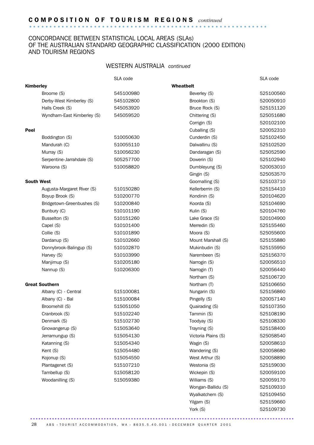# C O M P O S I T I O N O F T O U R I S M R E G I O N S *continued* ........................................................... .

## CONCORDANCE BETWEEN STATISTICAL LOCAL AREAS (SLAs) OF THE AUSTRALIAN STANDARD GEOGRAPHIC CLASSIFICATION (2000 EDITION) AND TOURISM REGIONS

### WESTERN AUSTRALIA *continued*

|                   |                            | SLA code  |                     | SLA code  |
|-------------------|----------------------------|-----------|---------------------|-----------|
| Kimberley         |                            |           | <b>Wheatbelt</b>    |           |
|                   | Broome (S)                 | 545100980 | Beverley (S)        | 525100560 |
|                   | Derby-West Kimberley (S)   | 545102800 | Brookton (S)        | 520050910 |
|                   | Halls Creek (S)            | 545053920 | Bruce Rock (S)      | 525151120 |
|                   | Wyndham-East Kimberley (S) | 545059520 | Chittering (S)      | 525051680 |
|                   |                            |           | Corrigin (S)        | 520102100 |
| Peel              |                            |           | Cuballing (S)       | 520052310 |
|                   | Boddington (S)             | 510050630 | Cunderdin (S)       | 525102450 |
|                   | Mandurah (C)               | 510055110 | Dalwallinu (S)      | 525102520 |
|                   | Murray (S)                 | 510056230 | Dandaragan (S)      | 525052590 |
|                   | Serpentine-Jarrahdale (S)  | 505257700 | Dowerin (S)         | 525102940 |
|                   | Waroona (S)                | 510058820 | Dumbleyung (S)      | 520053010 |
|                   |                            |           | Gingin (S)          | 525053570 |
| <b>South West</b> |                            |           | Goomalling (S)      | 525103710 |
|                   | Augusta-Margaret River (S) | 510150280 | Kellerberrin (S)    | 525154410 |
|                   | Boyup Brook (S)            | 510200770 | Kondinin (S)        | 520104620 |
|                   | Bridgetown-Greenbushes (S) | 510200840 | Koorda (S)          | 525104690 |
|                   | Bunbury (C)                | 510101190 | Kulin (S)           | 520104760 |
|                   | Busselton (S)              | 510151260 | Lake Grace (S)      | 520104900 |
|                   | Capel (S)                  | 510101400 | Merredin (S)        | 525155460 |
|                   | Collie (S)                 | 510101890 | Moora (S)           | 525055600 |
|                   | Dardanup (S)               | 510102660 | Mount Marshall (S)  | 525155880 |
|                   | Donnybrook-Balingup (S)    | 510102870 | Mukinbudin (S)      | 525155950 |
|                   | Harvey (S)                 | 510103990 | Narembeen (S)       | 525156370 |
|                   | Manjimup (S)               | 510205180 | Narrogin (S)        | 520056510 |
|                   | Nannup (S)                 | 510206300 | Narrogin (T)        | 520056440 |
|                   |                            |           | Northam (S)         | 525106720 |
|                   | <b>Great Southern</b>      |           | Northam (T)         | 525106650 |
|                   | Albany (C) - Central       | 515100081 | Nungarin (S)        | 525156860 |
|                   | Albany (C) - Bal           | 515100084 | Pingelly (S)        | 520057140 |
|                   | Broomehill (S)             | 515051050 | Quairading (S)      | 525107350 |
|                   | Cranbrook (S)              | 515102240 | Tammin (S)          | 525108190 |
|                   | Denmark (S)                | 515102730 | Toodyay (S)         | 525108330 |
|                   | Gnowangerup (S)            | 515053640 | Trayning (S)        | 525158400 |
|                   | Jerramungup (S)            | 515054130 | Victoria Plains (S) | 525058540 |
|                   | Katanning (S)              | 515054340 | Wagin (S)           | 520058610 |
|                   | Kent (S)                   | 515054480 | Wandering (S)       | 520058680 |
|                   | Kojonup (S)                | 515054550 | West Arthur (S)     | 520058890 |
|                   | Plantagenet (S)            | 515107210 | Westonia (S)        | 525159030 |
|                   | Tambellup (S)              | 515058120 | Wickepin (S)        | 520059100 |
|                   | Woodanilling (S)           | 515059380 | Williams (S)        | 520059170 |
|                   |                            |           | Wongan-Ballidu (S)  | 525109310 |
|                   |                            |           | Wyalkatchem (S)     | 525109450 |
|                   |                            |           | Yilgarn (S)         | 525159660 |
|                   |                            |           | York (S)            | 525109730 |

28 ABS • TOURIST ACCOMMODATION, WA • 8635.5.40.001 • DECEMBER QUARTER 2001

................................................................................................. ......................................................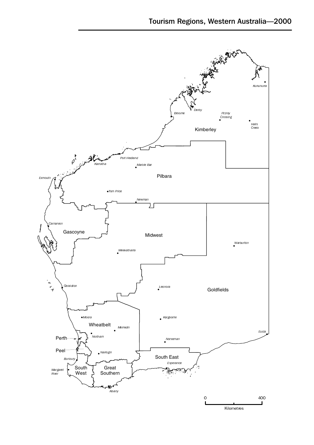